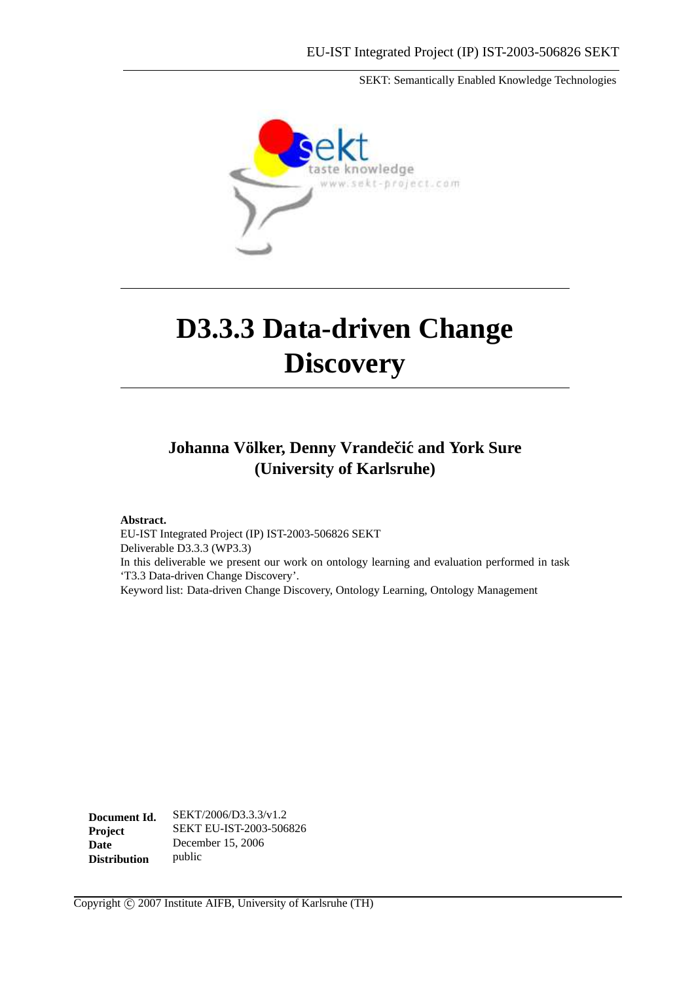SEKT: Semantically Enabled Knowledge Technologies



# **D3.3.3 Data-driven Change Discovery**

# **Johanna Völker, Denny Vrandečić and York Sure (University of Karlsruhe)**

#### **Abstract.**

EU-IST Integrated Project (IP) IST-2003-506826 SEKT Deliverable D3.3.3 (WP3.3) In this deliverable we present our work on ontology learning and evaluation performed in task 'T3.3 Data-driven Change Discovery'. Keyword list: Data-driven Change Discovery, Ontology Learning, Ontology Management

**Document Id. Project Date Distribution** SEKT/2006/D3.3.3/v1.2 SEKT EU-IST-2003-506826 December 15, 2006 public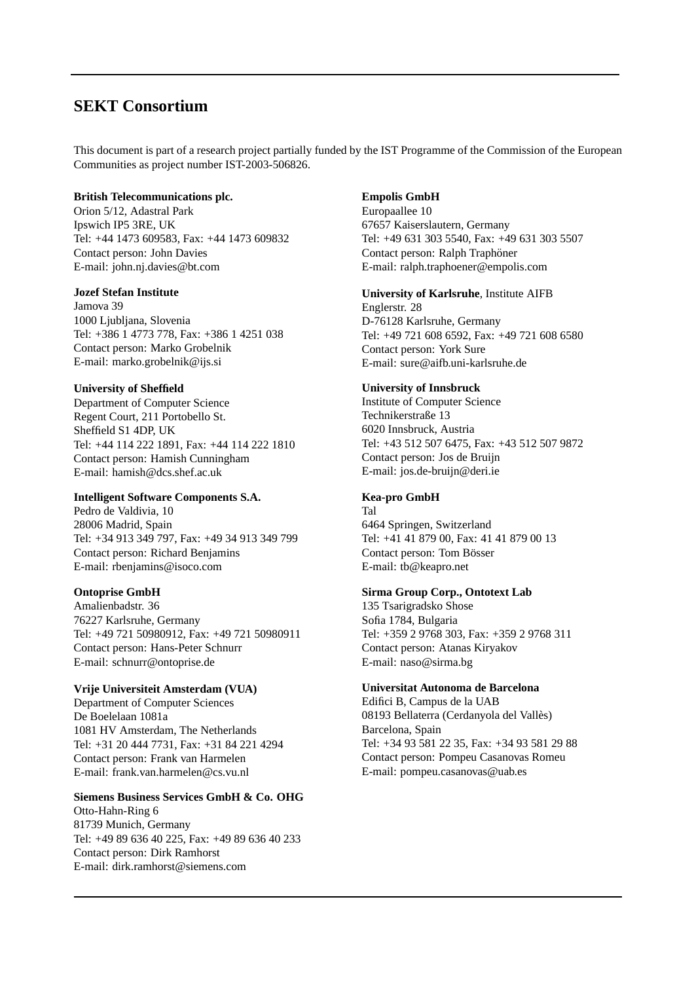## **SEKT Consortium**

This document is part of a research project partially funded by the IST Programme of the Commission of the European Communities as project number IST-2003-506826.

#### **British Telecommunications plc.**

Orion 5/12, Adastral Park Ipswich IP5 3RE, UK Tel: +44 1473 609583, Fax: +44 1473 609832 Contact person: John Davies E-mail: john.nj.davies@bt.com

#### **Jozef Stefan Institute**

Jamova 39 1000 Ljubljana, Slovenia Tel: +386 1 4773 778, Fax: +386 1 4251 038 Contact person: Marko Grobelnik E-mail: marko.grobelnik@ijs.si

#### **University of Sheffield**

Department of Computer Science Regent Court, 211 Portobello St. Sheffield S1 4DP, UK Tel: +44 114 222 1891, Fax: +44 114 222 1810 Contact person: Hamish Cunningham E-mail: hamish@dcs.shef.ac.uk

#### **Intelligent Software Components S.A.**

Pedro de Valdivia, 10 28006 Madrid, Spain Tel: +34 913 349 797, Fax: +49 34 913 349 799 Contact person: Richard Benjamins E-mail: rbenjamins@isoco.com

### **Ontoprise GmbH**

Amalienbadstr. 36 76227 Karlsruhe, Germany Tel: +49 721 50980912, Fax: +49 721 50980911 Contact person: Hans-Peter Schnurr E-mail: schnurr@ontoprise.de

#### **Vrije Universiteit Amsterdam (VUA)**

Department of Computer Sciences De Boelelaan 1081a 1081 HV Amsterdam, The Netherlands Tel: +31 20 444 7731, Fax: +31 84 221 4294 Contact person: Frank van Harmelen E-mail: frank.van.harmelen@cs.vu.nl

### **Siemens Business Services GmbH & Co. OHG**

Otto-Hahn-Ring 6 81739 Munich, Germany Tel: +49 89 636 40 225, Fax: +49 89 636 40 233 Contact person: Dirk Ramhorst E-mail: dirk.ramhorst@siemens.com

### **Empolis GmbH**

Europaallee 10 67657 Kaiserslautern, Germany Tel: +49 631 303 5540, Fax: +49 631 303 5507 Contact person: Ralph Traphöner E-mail: ralph.traphoener@empolis.com

#### **University of Karlsruhe**, Institute AIFB

Englerstr. 28 D-76128 Karlsruhe, Germany Tel: +49 721 608 6592, Fax: +49 721 608 6580 Contact person: York Sure E-mail: sure@aifb.uni-karlsruhe.de

#### **University of Innsbruck**

Institute of Computer Science Technikerstraße 13 6020 Innsbruck, Austria Tel: +43 512 507 6475, Fax: +43 512 507 9872 Contact person: Jos de Bruijn E-mail: jos.de-bruijn@deri.ie

#### **Kea-pro GmbH**

Tal 6464 Springen, Switzerland Tel: +41 41 879 00, Fax: 41 41 879 00 13 Contact person: Tom Bösser E-mail: tb@keapro.net

#### **Sirma Group Corp., Ontotext Lab**

135 Tsarigradsko Shose Sofia 1784, Bulgaria Tel: +359 2 9768 303, Fax: +359 2 9768 311 Contact person: Atanas Kiryakov E-mail: naso@sirma.bg

#### **Universitat Autonoma de Barcelona**

Edifici B, Campus de la UAB 08193 Bellaterra (Cerdanyola del Valles) ` Barcelona, Spain Tel: +34 93 581 22 35, Fax: +34 93 581 29 88 Contact person: Pompeu Casanovas Romeu E-mail: pompeu.casanovas@uab.es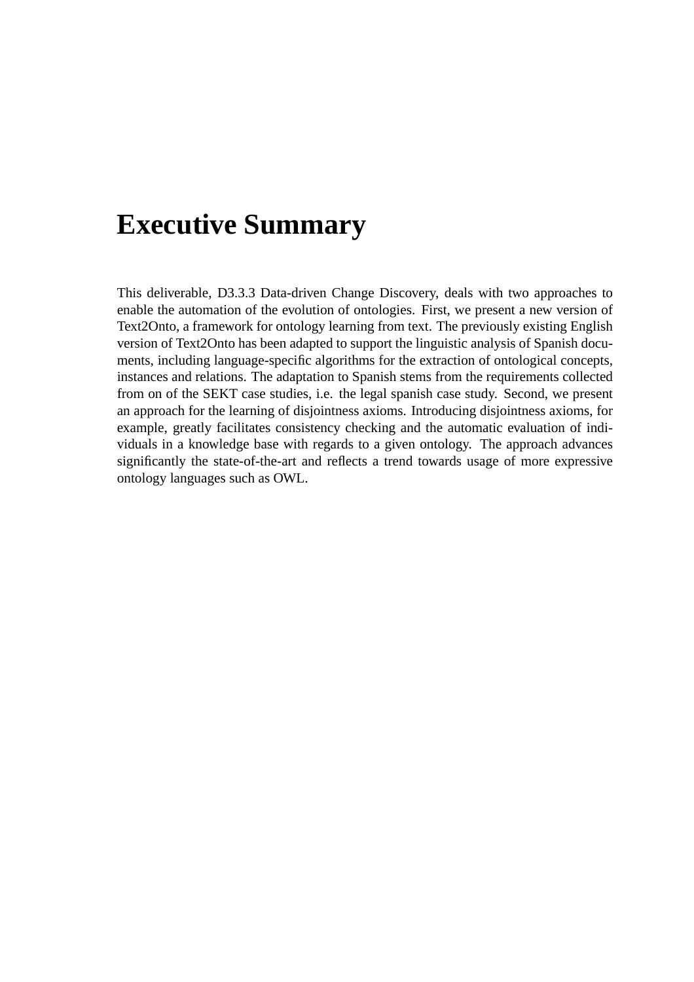# **Executive Summary**

This deliverable, D3.3.3 Data-driven Change Discovery, deals with two approaches to enable the automation of the evolution of ontologies. First, we present a new version of Text2Onto, a framework for ontology learning from text. The previously existing English version of Text2Onto has been adapted to support the linguistic analysis of Spanish documents, including language-specific algorithms for the extraction of ontological concepts, instances and relations. The adaptation to Spanish stems from the requirements collected from on of the SEKT case studies, i.e. the legal spanish case study. Second, we present an approach for the learning of disjointness axioms. Introducing disjointness axioms, for example, greatly facilitates consistency checking and the automatic evaluation of individuals in a knowledge base with regards to a given ontology. The approach advances significantly the state-of-the-art and reflects a trend towards usage of more expressive ontology languages such as OWL.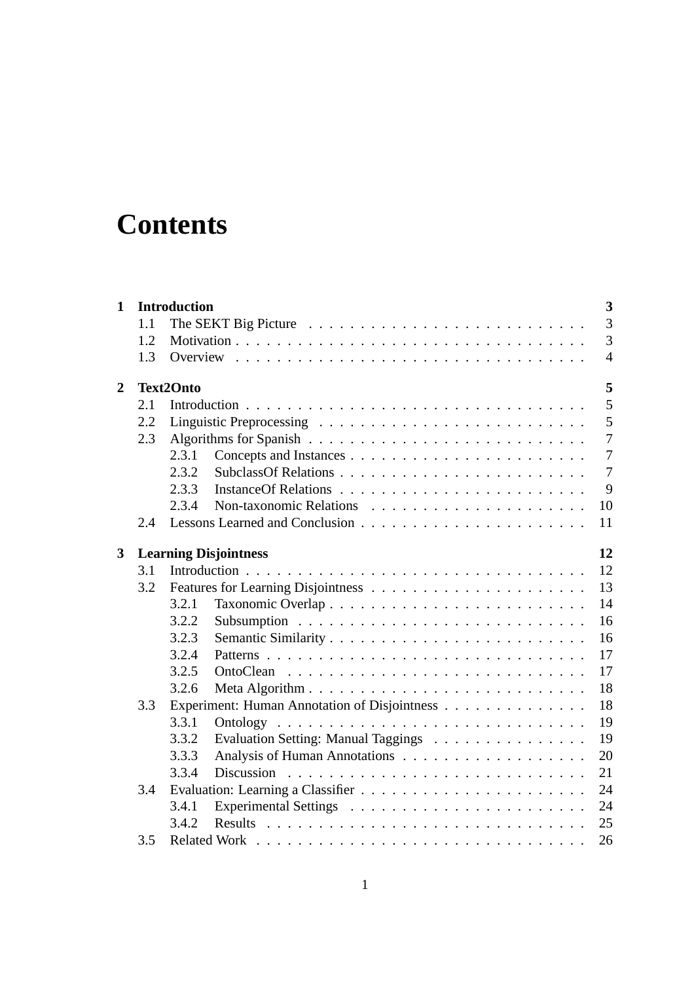# **Contents**

| $\mathbf{1}$   |     | <b>Introduction</b> | 3                                                  |
|----------------|-----|---------------------|----------------------------------------------------|
|                | 1.1 |                     | 3                                                  |
|                | 1.2 |                     | $\overline{3}$                                     |
|                | 1.3 |                     | $\overline{4}$                                     |
| $\overline{2}$ |     | <b>Text2Onto</b>    | 5                                                  |
|                | 2.1 |                     | 5                                                  |
|                | 2.2 |                     | 5                                                  |
|                | 2.3 |                     | $\overline{7}$                                     |
|                |     | 2.3.1               | $\overline{7}$                                     |
|                |     | 2.3.2               | $\overline{7}$                                     |
|                |     | 2.3.3               | 9                                                  |
|                |     | 2.3.4               | 10                                                 |
|                | 2.4 |                     | 11                                                 |
| 3              |     |                     | 12<br><b>Learning Disjointness</b>                 |
|                | 3.1 |                     | 12                                                 |
|                | 3.2 |                     | 13                                                 |
|                |     | 3.2.1               | 14                                                 |
|                |     | 3.2.2               | 16                                                 |
|                |     | 3.2.3               | 16                                                 |
|                |     | 3.2.4               | 17                                                 |
|                |     | 3.2.5               | 17                                                 |
|                |     | 3.2.6               | 18                                                 |
|                | 3.3 |                     | 18<br>Experiment: Human Annotation of Disjointness |
|                |     | 3.3.1               | 19                                                 |
|                |     | 3.3.2               | Evaluation Setting: Manual Taggings<br>19          |
|                |     | 3.3.3               | 20                                                 |
|                |     | 3.3.4               | 21                                                 |
|                | 3.4 |                     | 24                                                 |
|                |     | 3.4.1               | 24                                                 |
|                |     | 3.4.2               | 25                                                 |
|                | 3.5 |                     | 26                                                 |
|                |     |                     |                                                    |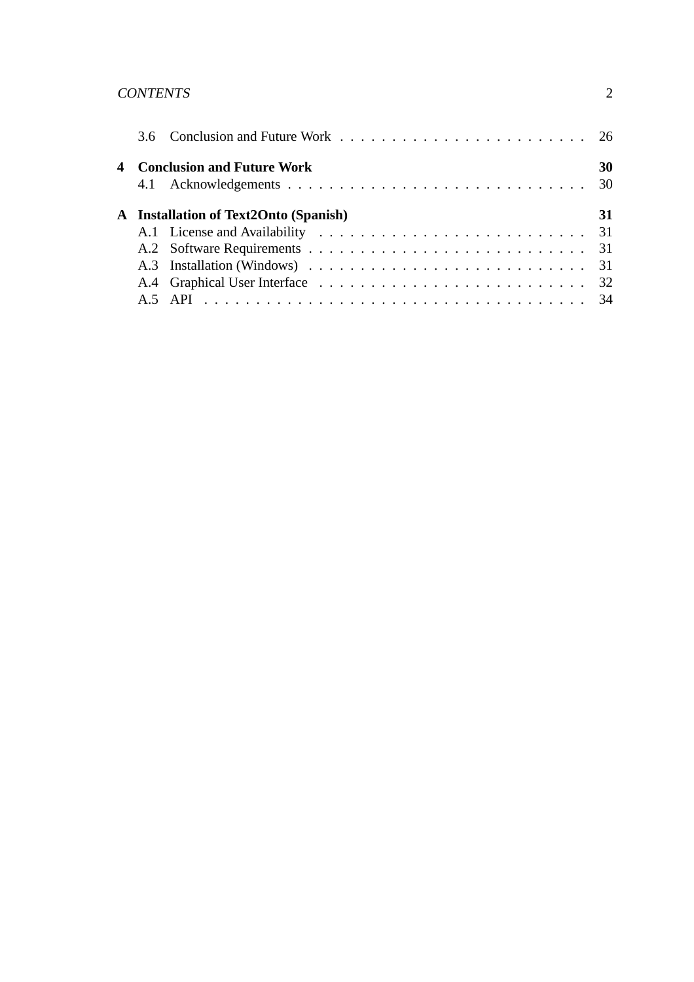## CONTENTS 2

|  | <b>4</b> Conclusion and Future Work   | 30 |
|--|---------------------------------------|----|
|  | A Installation of Text2Onto (Spanish) | 31 |
|  |                                       |    |
|  |                                       |    |
|  |                                       |    |
|  |                                       |    |
|  |                                       |    |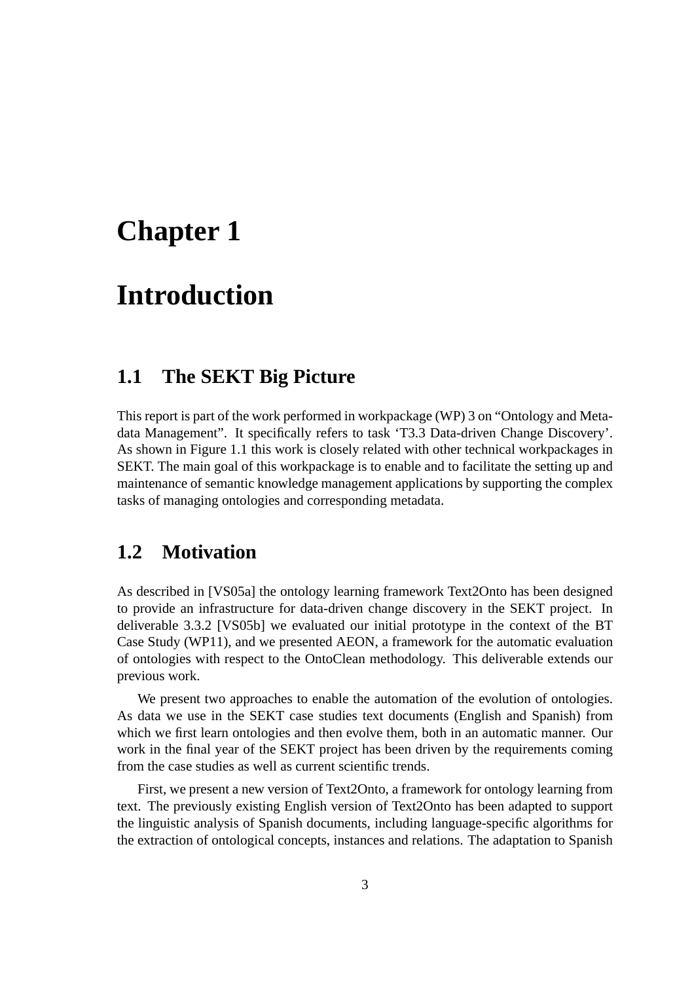# **Chapter 1**

# **Introduction**

# **1.1 The SEKT Big Picture**

This report is part of the work performed in workpackage (WP) 3 on "Ontology and Metadata Management". It specifically refers to task 'T3.3 Data-driven Change Discovery'. As shown in Figure 1.1 this work is closely related with other technical workpackages in SEKT. The main goal of this workpackage is to enable and to facilitate the setting up and maintenance of semantic knowledge management applications by supporting the complex tasks of managing ontologies and corresponding metadata.

# **1.2 Motivation**

As described in [VS05a] the ontology learning framework Text2Onto has been designed to provide an infrastructure for data-driven change discovery in the SEKT project. In deliverable 3.3.2 [VS05b] we evaluated our initial prototype in the context of the BT Case Study (WP11), and we presented AEON, a framework for the automatic evaluation of ontologies with respect to the OntoClean methodology. This deliverable extends our previous work.

We present two approaches to enable the automation of the evolution of ontologies. As data we use in the SEKT case studies text documents (English and Spanish) from which we first learn ontologies and then evolve them, both in an automatic manner. Our work in the final year of the SEKT project has been driven by the requirements coming from the case studies as well as current scientific trends.

First, we present a new version of Text2Onto, a framework for ontology learning from text. The previously existing English version of Text2Onto has been adapted to support the linguistic analysis of Spanish documents, including language-specific algorithms for the extraction of ontological concepts, instances and relations. The adaptation to Spanish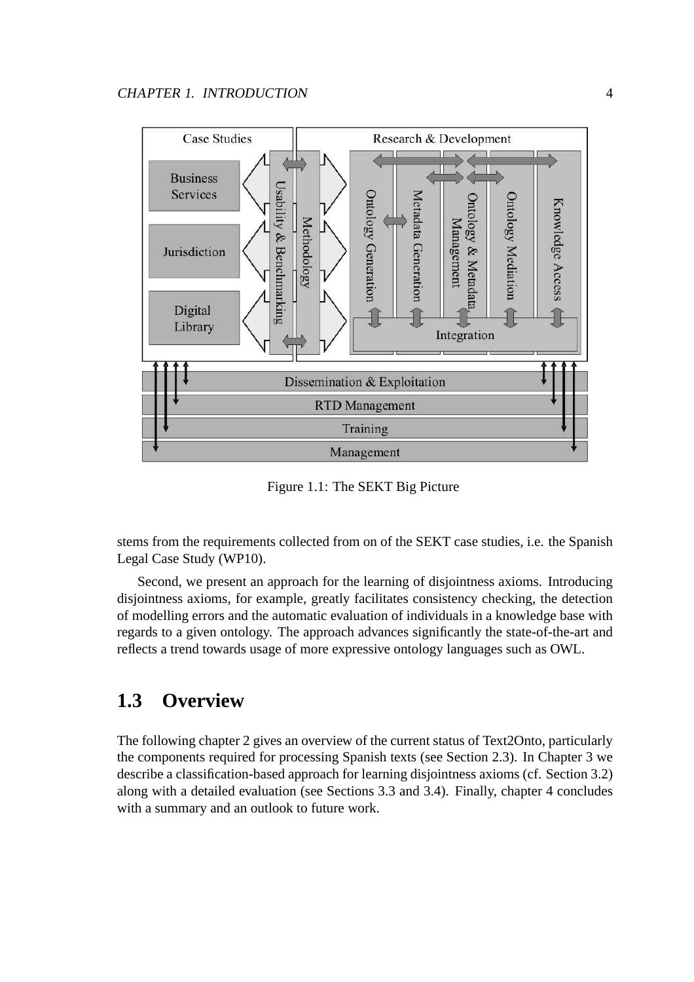

Figure 1.1: The SEKT Big Picture

stems from the requirements collected from on of the SEKT case studies, i.e. the Spanish Legal Case Study (WP10).

Second, we present an approach for the learning of disjointness axioms. Introducing disjointness axioms, for example, greatly facilitates consistency checking, the detection of modelling errors and the automatic evaluation of individuals in a knowledge base with regards to a given ontology. The approach advances significantly the state-of-the-art and reflects a trend towards usage of more expressive ontology languages such as OWL.

# **1.3 Overview**

The following chapter 2 gives an overview of the current status of Text2Onto, particularly the components required for processing Spanish texts (see Section 2.3). In Chapter 3 we describe a classification-based approach for learning disjointness axioms (cf. Section 3.2) along with a detailed evaluation (see Sections 3.3 and 3.4). Finally, chapter 4 concludes with a summary and an outlook to future work.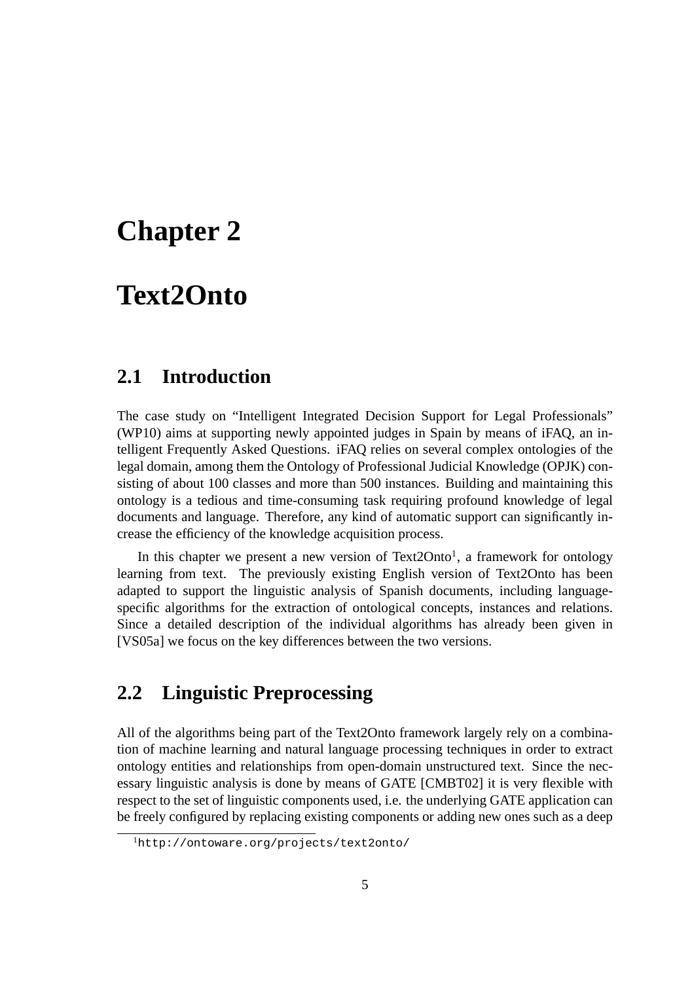# **Chapter 2**

# **Text2Onto**

## **2.1 Introduction**

The case study on "Intelligent Integrated Decision Support for Legal Professionals" (WP10) aims at supporting newly appointed judges in Spain by means of iFAQ, an intelligent Frequently Asked Questions. iFAQ relies on several complex ontologies of the legal domain, among them the Ontology of Professional Judicial Knowledge (OPJK) consisting of about 100 classes and more than 500 instances. Building and maintaining this ontology is a tedious and time-consuming task requiring profound knowledge of legal documents and language. Therefore, any kind of automatic support can significantly increase the efficiency of the knowledge acquisition process.

In this chapter we present a new version of  $Text2Onto<sup>1</sup>$ , a framework for ontology learning from text. The previously existing English version of Text2Onto has been adapted to support the linguistic analysis of Spanish documents, including languagespecific algorithms for the extraction of ontological concepts, instances and relations. Since a detailed description of the individual algorithms has already been given in [VS05a] we focus on the key differences between the two versions.

# **2.2 Linguistic Preprocessing**

All of the algorithms being part of the Text2Onto framework largely rely on a combination of machine learning and natural language processing techniques in order to extract ontology entities and relationships from open-domain unstructured text. Since the necessary linguistic analysis is done by means of GATE [CMBT02] it is very flexible with respect to the set of linguistic components used, i.e. the underlying GATE application can be freely configured by replacing existing components or adding new ones such as a deep

<sup>1</sup>http://ontoware.org/projects/text2onto/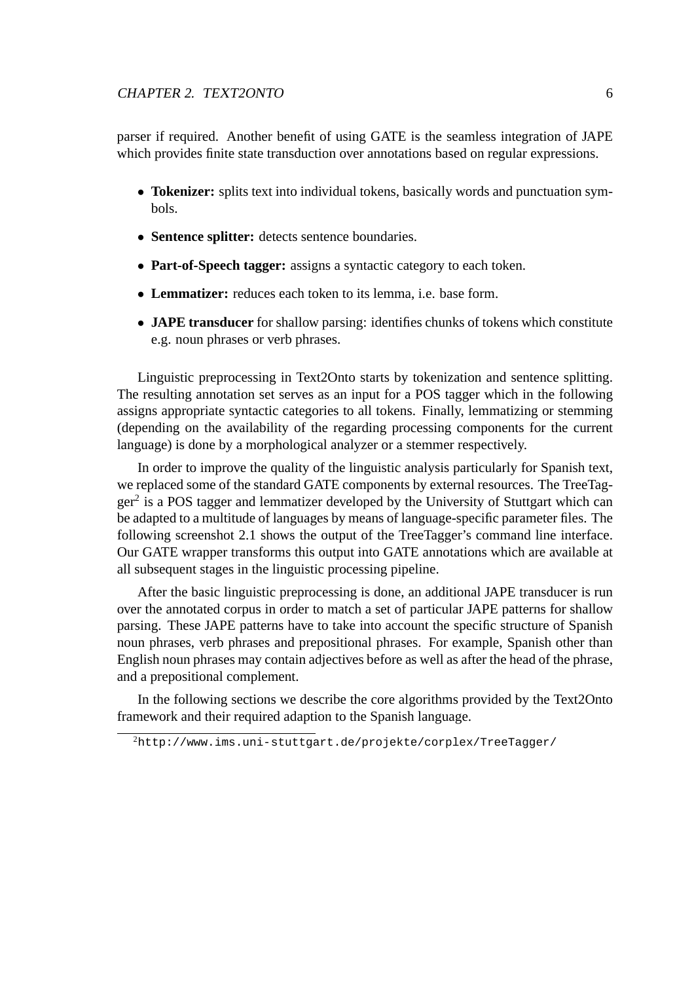### CHAPTER 2. TEXT2ONTO 6

parser if required. Another benefit of using GATE is the seamless integration of JAPE which provides finite state transduction over annotations based on regular expressions.

- **Tokenizer:** splits text into individual tokens, basically words and punctuation symbols.
- **Sentence splitter:** detects sentence boundaries.
- **Part-of-Speech tagger:** assigns a syntactic category to each token.
- **Lemmatizer:** reduces each token to its lemma, i.e. base form.
- **JAPE transducer** for shallow parsing: identifies chunks of tokens which constitute e.g. noun phrases or verb phrases.

Linguistic preprocessing in Text2Onto starts by tokenization and sentence splitting. The resulting annotation set serves as an input for a POS tagger which in the following assigns appropriate syntactic categories to all tokens. Finally, lemmatizing or stemming (depending on the availability of the regarding processing components for the current language) is done by a morphological analyzer or a stemmer respectively.

In order to improve the quality of the linguistic analysis particularly for Spanish text, we replaced some of the standard GATE components by external resources. The TreeTagger<sup>2</sup> is a POS tagger and lemmatizer developed by the University of Stuttgart which can be adapted to a multitude of languages by means of language-specific parameter files. The following screenshot 2.1 shows the output of the TreeTagger's command line interface. Our GATE wrapper transforms this output into GATE annotations which are available at all subsequent stages in the linguistic processing pipeline.

After the basic linguistic preprocessing is done, an additional JAPE transducer is run over the annotated corpus in order to match a set of particular JAPE patterns for shallow parsing. These JAPE patterns have to take into account the specific structure of Spanish noun phrases, verb phrases and prepositional phrases. For example, Spanish other than English noun phrases may contain adjectives before as well as after the head of the phrase, and a prepositional complement.

In the following sections we describe the core algorithms provided by the Text2Onto framework and their required adaption to the Spanish language.

<sup>2</sup>http://www.ims.uni-stuttgart.de/projekte/corplex/TreeTagger/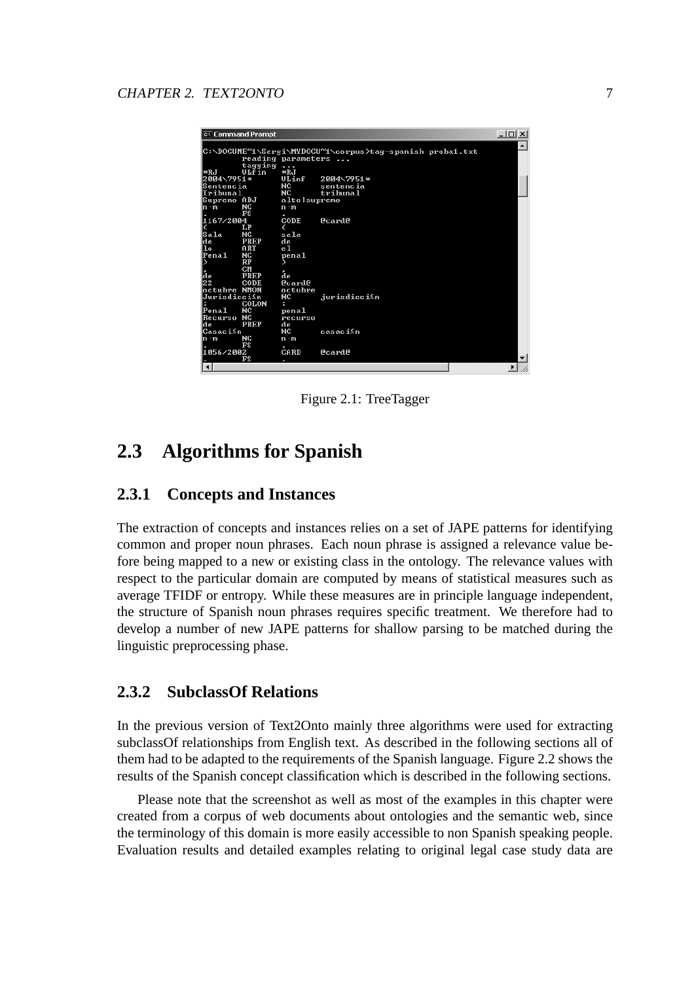|                        | <b>EX</b> Command Prompt |                      |                                                          | <u>니미지</u> |
|------------------------|--------------------------|----------------------|----------------------------------------------------------|------------|
|                        |                          | reading parameters   | C:\DOCUME~1\Sergi\MYDOCU~1\corpus>tag-spanish proba1.txt |            |
|                        | tagging                  | $\sim$ $\sim$ $\sim$ |                                                          |            |
| l∗R.I<br>2004\7951*    | ULFin                    | ∗RJ<br>ULinf         | 2004\7951*                                               |            |
| Sentencia              |                          | <b>NC</b>            | sentencia                                                |            |
| Tribunal               |                          | NC.                  | tribunal                                                 |            |
| Supremo ADJ            |                          | alto supremo         |                                                          |            |
| ln ·m                  | <b>NC</b>                | $n \cdot m$          |                                                          |            |
|                        | FS                       |                      |                                                          |            |
| 1167/2004              |                          | CODE                 | <b>PeardP</b>                                            |            |
|                        | LP                       |                      |                                                          |            |
| Sala                   | <b>NC</b>                | sala                 |                                                          |            |
| de                     | <b>PREP</b>              | de                   |                                                          |            |
| llo                    | ART                      | e 1                  |                                                          |            |
| Penal                  | NC                       | penal                |                                                          |            |
|                        | $_{\rm RP}$<br>CМ        |                      |                                                          |            |
| láe                    | <b>PREP</b>              | de                   |                                                          |            |
| 22                     | CODE                     | <b>CcardP</b>        |                                                          |            |
| octubre NMON           |                          | octubre              |                                                          |            |
| Jurisdicci≤n           |                          | NС                   | iurisdicci≤n                                             |            |
|                        | COLON                    |                      |                                                          |            |
| Penal                  | NC.                      | penal                |                                                          |            |
| Recurso NC             |                          | recurso              |                                                          |            |
| de                     | <b>PREP</b>              | de                   |                                                          |            |
| Casaci≤n               |                          | <b>NC</b>            | casaci≤n                                                 |            |
| ln ·m                  | NС                       | n · m                |                                                          |            |
|                        | FS                       |                      |                                                          |            |
| 1056/2002              |                          | <b>CARD</b>          | <b>Ccard</b>                                             |            |
|                        | FS                       |                      |                                                          |            |
| $\left  \cdot \right $ |                          |                      |                                                          | ь          |

Figure 2.1: TreeTagger

# **2.3 Algorithms for Spanish**

## **2.3.1 Concepts and Instances**

The extraction of concepts and instances relies on a set of JAPE patterns for identifying common and proper noun phrases. Each noun phrase is assigned a relevance value before being mapped to a new or existing class in the ontology. The relevance values with respect to the particular domain are computed by means of statistical measures such as average TFIDF or entropy. While these measures are in principle language independent, the structure of Spanish noun phrases requires specific treatment. We therefore had to develop a number of new JAPE patterns for shallow parsing to be matched during the linguistic preprocessing phase.

## **2.3.2 SubclassOf Relations**

In the previous version of Text2Onto mainly three algorithms were used for extracting subclassOf relationships from English text. As described in the following sections all of them had to be adapted to the requirements of the Spanish language. Figure 2.2 shows the results of the Spanish concept classification which is described in the following sections.

Please note that the screenshot as well as most of the examples in this chapter were created from a corpus of web documents about ontologies and the semantic web, since the terminology of this domain is more easily accessible to non Spanish speaking people. Evaluation results and detailed examples relating to original legal case study data are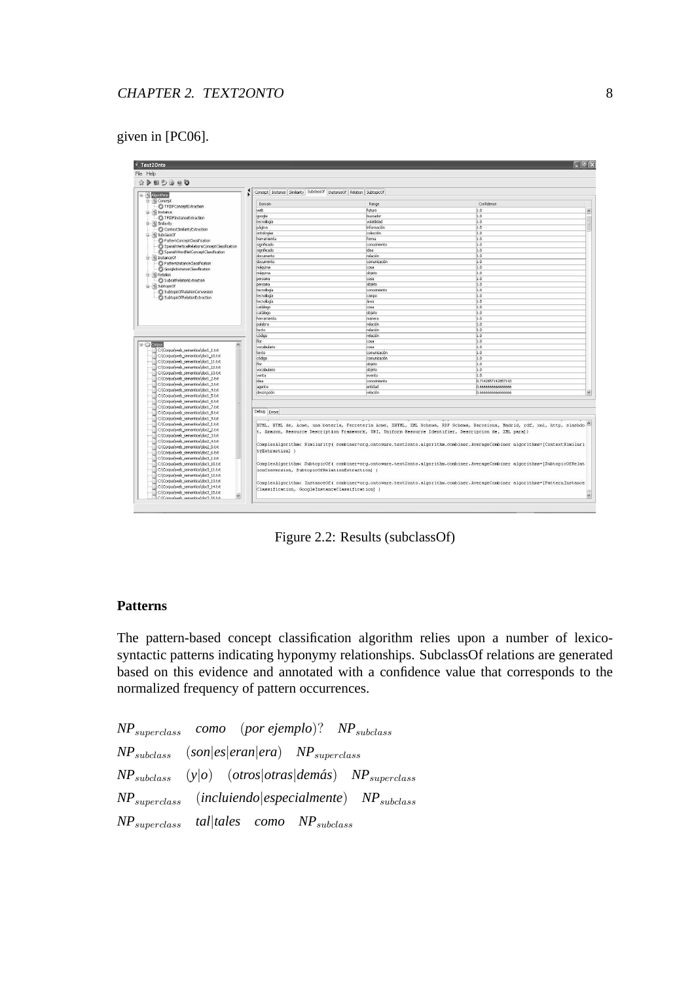## CHAPTER 2. TEXT2ONTO 8

### given in [PC06].

| File Help<br>* D 2 5 5 0 8<br>Concept Instance Similarity SubclassOf InstanceOf Relation SubtopicOf<br>B - Algorithms<br>B-6 Concept<br>Confidence<br>Domain<br>Range<br>TFIDFConceptExtraction<br>1.0<br>web<br>Futuro<br>图 hstance<br>1.0<br>google<br>buscador<br>TFIDFInstanceExtraction<br>volatilidad<br>1.0<br>tecnología<br>B-BI Smlarity<br>1.0<br>información<br>página<br>ContextSimilarityExtraction<br>1.0<br>colección<br>ontologías<br>B-9 SubclassOf<br>1.0<br>herramienta<br>Forma<br>PatternConceptClassification<br>1.0<br>significado<br>conocimiento<br>SpanishVerticalRelationsConceptClassification<br>1.0<br>significado<br>idea<br>SpanishWordNetConceptClassification<br>documento<br>1.0<br>relación<br>图 histanceOf<br>1.0<br>documento<br>comunicación<br>PatternInstanceClassification<br>1.0<br>máquina<br>cosa<br>GoogleInstanceClassification<br>1.0<br>máquina<br>objeto<br>B-图 Relation<br>1.0<br>persona<br>cosa<br>SubcatRelationExtraction<br>1.0<br>persona<br>objeto<br>B- 图 SubtopicOf<br>1.0<br>tecnología<br>conocimiento<br>SubtopicOfRelationConversion<br>1.0<br>tecnología<br>campo<br>SubtopicOfRelationExtraction<br>1.0<br>tecnología<br>área<br>1.0<br>catálogo<br>cosa<br>1.0<br>catálogo<br>objeto<br>1.0<br>herramienta<br>manera<br>1.0<br>palabra<br>relación<br>1.0<br>texto<br>relación<br>1.0<br>código<br>relación<br>flor<br>1.0<br>cosa<br>E-C Corpus<br>1.0<br>vocabulario<br>cosa<br>C:\Corpus\web semantica\doc1 1.txt<br>1.0<br>texto<br>comunicación<br>C:\Corpus\web_semantica\doc1_10.txt<br>código<br>1.0<br>comunicación<br>C:\Corpus\web semantica\doc1 11.bit<br>1.0<br>flor<br>objeto<br>C:\Corpus\web_semantica\doc1_12.bit<br>vocabulario<br>1.0<br>objeto<br>C:\Corpus\web semantica\doc1 13.bit<br>1.0<br>venta<br>evento<br>C:\Corpus\web_semantica\doc1_2.txt<br>idea<br>conocimiento<br>0.7142857142857143<br>C:\Corpus\web semantica\doc1 3.txt<br>entidad<br>0.66666666666666<br>agente<br>C:\Corpus\web semantica\doc1 4.txt<br>0.666666666666666<br>descripción<br>relación<br>C:\Corpus\web_semantica\doc1_5.txt<br>C:\Corpus\web semantica\doc1 6.txt<br>C:\Corpus\web_semantica\doc1_7.txt<br>Debug Errors<br>C:\Corpus\web semantica\doc1 8.txt<br>C:\Corpus\web_semantica\doc1_9.txt<br>C:\Corpus\web semantica\doc2 1.txt<br>HTML, HTML de, Acme, una bateria, Ferreteria Acme, XHTML, XML Schema, RDF Schema, Barcelona, Madrid, rdf, xml, http, slashdo<br>C:\Corpus\web_semantica\doc2_2.txt<br>t, Amazon, Resource Description Framework, URI, Uniform Resource Identifier, Descripcion de, XML para])<br>C:\Corpus\web semantica\doc2 3.txt<br>C:\Corpus\web_semantica\doc2_4.txt<br>ComplexAlgorithm: Similarity ( combiner=org.ontoware.text2onto.algorithm.combiner.AverageCombiner algorithms=[ContextSimilari<br>C:\Corpus\web_semantica\doc2_5.txt<br>tyExtraction]<br>C:\Corpus\web semantica\doc2 6.txt<br>C:\Corpus\web_semantica\doc3_1.txt<br>ComplexAlgorithm: SubtopicOf ( combiner=org.ontoware.text2onto.algorithm.combiner.AverageCombiner algorithms=[SubtopicOfRelat<br>C:\Corpus\web semantica\doc3 10.bit<br>C:\Corpus\web_semantica\doc3_11.bit<br>ionConversion, SubtopicOfRelationExtraction] )<br>C:\Corpus\web semantica\doc3 12.bit | € Text2Onto |  |              |
|---------------------------------------------------------------------------------------------------------------------------------------------------------------------------------------------------------------------------------------------------------------------------------------------------------------------------------------------------------------------------------------------------------------------------------------------------------------------------------------------------------------------------------------------------------------------------------------------------------------------------------------------------------------------------------------------------------------------------------------------------------------------------------------------------------------------------------------------------------------------------------------------------------------------------------------------------------------------------------------------------------------------------------------------------------------------------------------------------------------------------------------------------------------------------------------------------------------------------------------------------------------------------------------------------------------------------------------------------------------------------------------------------------------------------------------------------------------------------------------------------------------------------------------------------------------------------------------------------------------------------------------------------------------------------------------------------------------------------------------------------------------------------------------------------------------------------------------------------------------------------------------------------------------------------------------------------------------------------------------------------------------------------------------------------------------------------------------------------------------------------------------------------------------------------------------------------------------------------------------------------------------------------------------------------------------------------------------------------------------------------------------------------------------------------------------------------------------------------------------------------------------------------------------------------------------------------------------------------------------------------------------------------------------------------------------------------------------------------------------------------------------------------------------------------------------------------------------------------------------------------------------------------------------------------------------------------------------------------------------------------------------------------------------------------------------------------------------------------------------------------------------------------------------------------------------------------------------------------------------------------------------|-------------|--|--------------|
|                                                                                                                                                                                                                                                                                                                                                                                                                                                                                                                                                                                                                                                                                                                                                                                                                                                                                                                                                                                                                                                                                                                                                                                                                                                                                                                                                                                                                                                                                                                                                                                                                                                                                                                                                                                                                                                                                                                                                                                                                                                                                                                                                                                                                                                                                                                                                                                                                                                                                                                                                                                                                                                                                                                                                                                                                                                                                                                                                                                                                                                                                                                                                                                                                                                               |             |  |              |
|                                                                                                                                                                                                                                                                                                                                                                                                                                                                                                                                                                                                                                                                                                                                                                                                                                                                                                                                                                                                                                                                                                                                                                                                                                                                                                                                                                                                                                                                                                                                                                                                                                                                                                                                                                                                                                                                                                                                                                                                                                                                                                                                                                                                                                                                                                                                                                                                                                                                                                                                                                                                                                                                                                                                                                                                                                                                                                                                                                                                                                                                                                                                                                                                                                                               |             |  |              |
|                                                                                                                                                                                                                                                                                                                                                                                                                                                                                                                                                                                                                                                                                                                                                                                                                                                                                                                                                                                                                                                                                                                                                                                                                                                                                                                                                                                                                                                                                                                                                                                                                                                                                                                                                                                                                                                                                                                                                                                                                                                                                                                                                                                                                                                                                                                                                                                                                                                                                                                                                                                                                                                                                                                                                                                                                                                                                                                                                                                                                                                                                                                                                                                                                                                               |             |  |              |
|                                                                                                                                                                                                                                                                                                                                                                                                                                                                                                                                                                                                                                                                                                                                                                                                                                                                                                                                                                                                                                                                                                                                                                                                                                                                                                                                                                                                                                                                                                                                                                                                                                                                                                                                                                                                                                                                                                                                                                                                                                                                                                                                                                                                                                                                                                                                                                                                                                                                                                                                                                                                                                                                                                                                                                                                                                                                                                                                                                                                                                                                                                                                                                                                                                                               |             |  |              |
|                                                                                                                                                                                                                                                                                                                                                                                                                                                                                                                                                                                                                                                                                                                                                                                                                                                                                                                                                                                                                                                                                                                                                                                                                                                                                                                                                                                                                                                                                                                                                                                                                                                                                                                                                                                                                                                                                                                                                                                                                                                                                                                                                                                                                                                                                                                                                                                                                                                                                                                                                                                                                                                                                                                                                                                                                                                                                                                                                                                                                                                                                                                                                                                                                                                               |             |  |              |
|                                                                                                                                                                                                                                                                                                                                                                                                                                                                                                                                                                                                                                                                                                                                                                                                                                                                                                                                                                                                                                                                                                                                                                                                                                                                                                                                                                                                                                                                                                                                                                                                                                                                                                                                                                                                                                                                                                                                                                                                                                                                                                                                                                                                                                                                                                                                                                                                                                                                                                                                                                                                                                                                                                                                                                                                                                                                                                                                                                                                                                                                                                                                                                                                                                                               |             |  |              |
|                                                                                                                                                                                                                                                                                                                                                                                                                                                                                                                                                                                                                                                                                                                                                                                                                                                                                                                                                                                                                                                                                                                                                                                                                                                                                                                                                                                                                                                                                                                                                                                                                                                                                                                                                                                                                                                                                                                                                                                                                                                                                                                                                                                                                                                                                                                                                                                                                                                                                                                                                                                                                                                                                                                                                                                                                                                                                                                                                                                                                                                                                                                                                                                                                                                               |             |  |              |
|                                                                                                                                                                                                                                                                                                                                                                                                                                                                                                                                                                                                                                                                                                                                                                                                                                                                                                                                                                                                                                                                                                                                                                                                                                                                                                                                                                                                                                                                                                                                                                                                                                                                                                                                                                                                                                                                                                                                                                                                                                                                                                                                                                                                                                                                                                                                                                                                                                                                                                                                                                                                                                                                                                                                                                                                                                                                                                                                                                                                                                                                                                                                                                                                                                                               |             |  |              |
|                                                                                                                                                                                                                                                                                                                                                                                                                                                                                                                                                                                                                                                                                                                                                                                                                                                                                                                                                                                                                                                                                                                                                                                                                                                                                                                                                                                                                                                                                                                                                                                                                                                                                                                                                                                                                                                                                                                                                                                                                                                                                                                                                                                                                                                                                                                                                                                                                                                                                                                                                                                                                                                                                                                                                                                                                                                                                                                                                                                                                                                                                                                                                                                                                                                               |             |  |              |
|                                                                                                                                                                                                                                                                                                                                                                                                                                                                                                                                                                                                                                                                                                                                                                                                                                                                                                                                                                                                                                                                                                                                                                                                                                                                                                                                                                                                                                                                                                                                                                                                                                                                                                                                                                                                                                                                                                                                                                                                                                                                                                                                                                                                                                                                                                                                                                                                                                                                                                                                                                                                                                                                                                                                                                                                                                                                                                                                                                                                                                                                                                                                                                                                                                                               |             |  |              |
|                                                                                                                                                                                                                                                                                                                                                                                                                                                                                                                                                                                                                                                                                                                                                                                                                                                                                                                                                                                                                                                                                                                                                                                                                                                                                                                                                                                                                                                                                                                                                                                                                                                                                                                                                                                                                                                                                                                                                                                                                                                                                                                                                                                                                                                                                                                                                                                                                                                                                                                                                                                                                                                                                                                                                                                                                                                                                                                                                                                                                                                                                                                                                                                                                                                               |             |  |              |
|                                                                                                                                                                                                                                                                                                                                                                                                                                                                                                                                                                                                                                                                                                                                                                                                                                                                                                                                                                                                                                                                                                                                                                                                                                                                                                                                                                                                                                                                                                                                                                                                                                                                                                                                                                                                                                                                                                                                                                                                                                                                                                                                                                                                                                                                                                                                                                                                                                                                                                                                                                                                                                                                                                                                                                                                                                                                                                                                                                                                                                                                                                                                                                                                                                                               |             |  |              |
|                                                                                                                                                                                                                                                                                                                                                                                                                                                                                                                                                                                                                                                                                                                                                                                                                                                                                                                                                                                                                                                                                                                                                                                                                                                                                                                                                                                                                                                                                                                                                                                                                                                                                                                                                                                                                                                                                                                                                                                                                                                                                                                                                                                                                                                                                                                                                                                                                                                                                                                                                                                                                                                                                                                                                                                                                                                                                                                                                                                                                                                                                                                                                                                                                                                               |             |  |              |
|                                                                                                                                                                                                                                                                                                                                                                                                                                                                                                                                                                                                                                                                                                                                                                                                                                                                                                                                                                                                                                                                                                                                                                                                                                                                                                                                                                                                                                                                                                                                                                                                                                                                                                                                                                                                                                                                                                                                                                                                                                                                                                                                                                                                                                                                                                                                                                                                                                                                                                                                                                                                                                                                                                                                                                                                                                                                                                                                                                                                                                                                                                                                                                                                                                                               |             |  |              |
|                                                                                                                                                                                                                                                                                                                                                                                                                                                                                                                                                                                                                                                                                                                                                                                                                                                                                                                                                                                                                                                                                                                                                                                                                                                                                                                                                                                                                                                                                                                                                                                                                                                                                                                                                                                                                                                                                                                                                                                                                                                                                                                                                                                                                                                                                                                                                                                                                                                                                                                                                                                                                                                                                                                                                                                                                                                                                                                                                                                                                                                                                                                                                                                                                                                               |             |  |              |
|                                                                                                                                                                                                                                                                                                                                                                                                                                                                                                                                                                                                                                                                                                                                                                                                                                                                                                                                                                                                                                                                                                                                                                                                                                                                                                                                                                                                                                                                                                                                                                                                                                                                                                                                                                                                                                                                                                                                                                                                                                                                                                                                                                                                                                                                                                                                                                                                                                                                                                                                                                                                                                                                                                                                                                                                                                                                                                                                                                                                                                                                                                                                                                                                                                                               |             |  |              |
|                                                                                                                                                                                                                                                                                                                                                                                                                                                                                                                                                                                                                                                                                                                                                                                                                                                                                                                                                                                                                                                                                                                                                                                                                                                                                                                                                                                                                                                                                                                                                                                                                                                                                                                                                                                                                                                                                                                                                                                                                                                                                                                                                                                                                                                                                                                                                                                                                                                                                                                                                                                                                                                                                                                                                                                                                                                                                                                                                                                                                                                                                                                                                                                                                                                               |             |  |              |
|                                                                                                                                                                                                                                                                                                                                                                                                                                                                                                                                                                                                                                                                                                                                                                                                                                                                                                                                                                                                                                                                                                                                                                                                                                                                                                                                                                                                                                                                                                                                                                                                                                                                                                                                                                                                                                                                                                                                                                                                                                                                                                                                                                                                                                                                                                                                                                                                                                                                                                                                                                                                                                                                                                                                                                                                                                                                                                                                                                                                                                                                                                                                                                                                                                                               |             |  |              |
|                                                                                                                                                                                                                                                                                                                                                                                                                                                                                                                                                                                                                                                                                                                                                                                                                                                                                                                                                                                                                                                                                                                                                                                                                                                                                                                                                                                                                                                                                                                                                                                                                                                                                                                                                                                                                                                                                                                                                                                                                                                                                                                                                                                                                                                                                                                                                                                                                                                                                                                                                                                                                                                                                                                                                                                                                                                                                                                                                                                                                                                                                                                                                                                                                                                               |             |  |              |
|                                                                                                                                                                                                                                                                                                                                                                                                                                                                                                                                                                                                                                                                                                                                                                                                                                                                                                                                                                                                                                                                                                                                                                                                                                                                                                                                                                                                                                                                                                                                                                                                                                                                                                                                                                                                                                                                                                                                                                                                                                                                                                                                                                                                                                                                                                                                                                                                                                                                                                                                                                                                                                                                                                                                                                                                                                                                                                                                                                                                                                                                                                                                                                                                                                                               |             |  |              |
|                                                                                                                                                                                                                                                                                                                                                                                                                                                                                                                                                                                                                                                                                                                                                                                                                                                                                                                                                                                                                                                                                                                                                                                                                                                                                                                                                                                                                                                                                                                                                                                                                                                                                                                                                                                                                                                                                                                                                                                                                                                                                                                                                                                                                                                                                                                                                                                                                                                                                                                                                                                                                                                                                                                                                                                                                                                                                                                                                                                                                                                                                                                                                                                                                                                               |             |  |              |
|                                                                                                                                                                                                                                                                                                                                                                                                                                                                                                                                                                                                                                                                                                                                                                                                                                                                                                                                                                                                                                                                                                                                                                                                                                                                                                                                                                                                                                                                                                                                                                                                                                                                                                                                                                                                                                                                                                                                                                                                                                                                                                                                                                                                                                                                                                                                                                                                                                                                                                                                                                                                                                                                                                                                                                                                                                                                                                                                                                                                                                                                                                                                                                                                                                                               |             |  |              |
|                                                                                                                                                                                                                                                                                                                                                                                                                                                                                                                                                                                                                                                                                                                                                                                                                                                                                                                                                                                                                                                                                                                                                                                                                                                                                                                                                                                                                                                                                                                                                                                                                                                                                                                                                                                                                                                                                                                                                                                                                                                                                                                                                                                                                                                                                                                                                                                                                                                                                                                                                                                                                                                                                                                                                                                                                                                                                                                                                                                                                                                                                                                                                                                                                                                               |             |  |              |
|                                                                                                                                                                                                                                                                                                                                                                                                                                                                                                                                                                                                                                                                                                                                                                                                                                                                                                                                                                                                                                                                                                                                                                                                                                                                                                                                                                                                                                                                                                                                                                                                                                                                                                                                                                                                                                                                                                                                                                                                                                                                                                                                                                                                                                                                                                                                                                                                                                                                                                                                                                                                                                                                                                                                                                                                                                                                                                                                                                                                                                                                                                                                                                                                                                                               |             |  |              |
|                                                                                                                                                                                                                                                                                                                                                                                                                                                                                                                                                                                                                                                                                                                                                                                                                                                                                                                                                                                                                                                                                                                                                                                                                                                                                                                                                                                                                                                                                                                                                                                                                                                                                                                                                                                                                                                                                                                                                                                                                                                                                                                                                                                                                                                                                                                                                                                                                                                                                                                                                                                                                                                                                                                                                                                                                                                                                                                                                                                                                                                                                                                                                                                                                                                               |             |  |              |
|                                                                                                                                                                                                                                                                                                                                                                                                                                                                                                                                                                                                                                                                                                                                                                                                                                                                                                                                                                                                                                                                                                                                                                                                                                                                                                                                                                                                                                                                                                                                                                                                                                                                                                                                                                                                                                                                                                                                                                                                                                                                                                                                                                                                                                                                                                                                                                                                                                                                                                                                                                                                                                                                                                                                                                                                                                                                                                                                                                                                                                                                                                                                                                                                                                                               |             |  |              |
|                                                                                                                                                                                                                                                                                                                                                                                                                                                                                                                                                                                                                                                                                                                                                                                                                                                                                                                                                                                                                                                                                                                                                                                                                                                                                                                                                                                                                                                                                                                                                                                                                                                                                                                                                                                                                                                                                                                                                                                                                                                                                                                                                                                                                                                                                                                                                                                                                                                                                                                                                                                                                                                                                                                                                                                                                                                                                                                                                                                                                                                                                                                                                                                                                                                               |             |  |              |
|                                                                                                                                                                                                                                                                                                                                                                                                                                                                                                                                                                                                                                                                                                                                                                                                                                                                                                                                                                                                                                                                                                                                                                                                                                                                                                                                                                                                                                                                                                                                                                                                                                                                                                                                                                                                                                                                                                                                                                                                                                                                                                                                                                                                                                                                                                                                                                                                                                                                                                                                                                                                                                                                                                                                                                                                                                                                                                                                                                                                                                                                                                                                                                                                                                                               |             |  |              |
|                                                                                                                                                                                                                                                                                                                                                                                                                                                                                                                                                                                                                                                                                                                                                                                                                                                                                                                                                                                                                                                                                                                                                                                                                                                                                                                                                                                                                                                                                                                                                                                                                                                                                                                                                                                                                                                                                                                                                                                                                                                                                                                                                                                                                                                                                                                                                                                                                                                                                                                                                                                                                                                                                                                                                                                                                                                                                                                                                                                                                                                                                                                                                                                                                                                               |             |  |              |
|                                                                                                                                                                                                                                                                                                                                                                                                                                                                                                                                                                                                                                                                                                                                                                                                                                                                                                                                                                                                                                                                                                                                                                                                                                                                                                                                                                                                                                                                                                                                                                                                                                                                                                                                                                                                                                                                                                                                                                                                                                                                                                                                                                                                                                                                                                                                                                                                                                                                                                                                                                                                                                                                                                                                                                                                                                                                                                                                                                                                                                                                                                                                                                                                                                                               |             |  |              |
|                                                                                                                                                                                                                                                                                                                                                                                                                                                                                                                                                                                                                                                                                                                                                                                                                                                                                                                                                                                                                                                                                                                                                                                                                                                                                                                                                                                                                                                                                                                                                                                                                                                                                                                                                                                                                                                                                                                                                                                                                                                                                                                                                                                                                                                                                                                                                                                                                                                                                                                                                                                                                                                                                                                                                                                                                                                                                                                                                                                                                                                                                                                                                                                                                                                               |             |  |              |
|                                                                                                                                                                                                                                                                                                                                                                                                                                                                                                                                                                                                                                                                                                                                                                                                                                                                                                                                                                                                                                                                                                                                                                                                                                                                                                                                                                                                                                                                                                                                                                                                                                                                                                                                                                                                                                                                                                                                                                                                                                                                                                                                                                                                                                                                                                                                                                                                                                                                                                                                                                                                                                                                                                                                                                                                                                                                                                                                                                                                                                                                                                                                                                                                                                                               |             |  |              |
|                                                                                                                                                                                                                                                                                                                                                                                                                                                                                                                                                                                                                                                                                                                                                                                                                                                                                                                                                                                                                                                                                                                                                                                                                                                                                                                                                                                                                                                                                                                                                                                                                                                                                                                                                                                                                                                                                                                                                                                                                                                                                                                                                                                                                                                                                                                                                                                                                                                                                                                                                                                                                                                                                                                                                                                                                                                                                                                                                                                                                                                                                                                                                                                                                                                               |             |  |              |
|                                                                                                                                                                                                                                                                                                                                                                                                                                                                                                                                                                                                                                                                                                                                                                                                                                                                                                                                                                                                                                                                                                                                                                                                                                                                                                                                                                                                                                                                                                                                                                                                                                                                                                                                                                                                                                                                                                                                                                                                                                                                                                                                                                                                                                                                                                                                                                                                                                                                                                                                                                                                                                                                                                                                                                                                                                                                                                                                                                                                                                                                                                                                                                                                                                                               |             |  |              |
|                                                                                                                                                                                                                                                                                                                                                                                                                                                                                                                                                                                                                                                                                                                                                                                                                                                                                                                                                                                                                                                                                                                                                                                                                                                                                                                                                                                                                                                                                                                                                                                                                                                                                                                                                                                                                                                                                                                                                                                                                                                                                                                                                                                                                                                                                                                                                                                                                                                                                                                                                                                                                                                                                                                                                                                                                                                                                                                                                                                                                                                                                                                                                                                                                                                               |             |  |              |
|                                                                                                                                                                                                                                                                                                                                                                                                                                                                                                                                                                                                                                                                                                                                                                                                                                                                                                                                                                                                                                                                                                                                                                                                                                                                                                                                                                                                                                                                                                                                                                                                                                                                                                                                                                                                                                                                                                                                                                                                                                                                                                                                                                                                                                                                                                                                                                                                                                                                                                                                                                                                                                                                                                                                                                                                                                                                                                                                                                                                                                                                                                                                                                                                                                                               |             |  |              |
|                                                                                                                                                                                                                                                                                                                                                                                                                                                                                                                                                                                                                                                                                                                                                                                                                                                                                                                                                                                                                                                                                                                                                                                                                                                                                                                                                                                                                                                                                                                                                                                                                                                                                                                                                                                                                                                                                                                                                                                                                                                                                                                                                                                                                                                                                                                                                                                                                                                                                                                                                                                                                                                                                                                                                                                                                                                                                                                                                                                                                                                                                                                                                                                                                                                               |             |  |              |
|                                                                                                                                                                                                                                                                                                                                                                                                                                                                                                                                                                                                                                                                                                                                                                                                                                                                                                                                                                                                                                                                                                                                                                                                                                                                                                                                                                                                                                                                                                                                                                                                                                                                                                                                                                                                                                                                                                                                                                                                                                                                                                                                                                                                                                                                                                                                                                                                                                                                                                                                                                                                                                                                                                                                                                                                                                                                                                                                                                                                                                                                                                                                                                                                                                                               |             |  |              |
|                                                                                                                                                                                                                                                                                                                                                                                                                                                                                                                                                                                                                                                                                                                                                                                                                                                                                                                                                                                                                                                                                                                                                                                                                                                                                                                                                                                                                                                                                                                                                                                                                                                                                                                                                                                                                                                                                                                                                                                                                                                                                                                                                                                                                                                                                                                                                                                                                                                                                                                                                                                                                                                                                                                                                                                                                                                                                                                                                                                                                                                                                                                                                                                                                                                               |             |  |              |
|                                                                                                                                                                                                                                                                                                                                                                                                                                                                                                                                                                                                                                                                                                                                                                                                                                                                                                                                                                                                                                                                                                                                                                                                                                                                                                                                                                                                                                                                                                                                                                                                                                                                                                                                                                                                                                                                                                                                                                                                                                                                                                                                                                                                                                                                                                                                                                                                                                                                                                                                                                                                                                                                                                                                                                                                                                                                                                                                                                                                                                                                                                                                                                                                                                                               |             |  |              |
|                                                                                                                                                                                                                                                                                                                                                                                                                                                                                                                                                                                                                                                                                                                                                                                                                                                                                                                                                                                                                                                                                                                                                                                                                                                                                                                                                                                                                                                                                                                                                                                                                                                                                                                                                                                                                                                                                                                                                                                                                                                                                                                                                                                                                                                                                                                                                                                                                                                                                                                                                                                                                                                                                                                                                                                                                                                                                                                                                                                                                                                                                                                                                                                                                                                               |             |  |              |
|                                                                                                                                                                                                                                                                                                                                                                                                                                                                                                                                                                                                                                                                                                                                                                                                                                                                                                                                                                                                                                                                                                                                                                                                                                                                                                                                                                                                                                                                                                                                                                                                                                                                                                                                                                                                                                                                                                                                                                                                                                                                                                                                                                                                                                                                                                                                                                                                                                                                                                                                                                                                                                                                                                                                                                                                                                                                                                                                                                                                                                                                                                                                                                                                                                                               |             |  |              |
|                                                                                                                                                                                                                                                                                                                                                                                                                                                                                                                                                                                                                                                                                                                                                                                                                                                                                                                                                                                                                                                                                                                                                                                                                                                                                                                                                                                                                                                                                                                                                                                                                                                                                                                                                                                                                                                                                                                                                                                                                                                                                                                                                                                                                                                                                                                                                                                                                                                                                                                                                                                                                                                                                                                                                                                                                                                                                                                                                                                                                                                                                                                                                                                                                                                               |             |  |              |
|                                                                                                                                                                                                                                                                                                                                                                                                                                                                                                                                                                                                                                                                                                                                                                                                                                                                                                                                                                                                                                                                                                                                                                                                                                                                                                                                                                                                                                                                                                                                                                                                                                                                                                                                                                                                                                                                                                                                                                                                                                                                                                                                                                                                                                                                                                                                                                                                                                                                                                                                                                                                                                                                                                                                                                                                                                                                                                                                                                                                                                                                                                                                                                                                                                                               |             |  |              |
|                                                                                                                                                                                                                                                                                                                                                                                                                                                                                                                                                                                                                                                                                                                                                                                                                                                                                                                                                                                                                                                                                                                                                                                                                                                                                                                                                                                                                                                                                                                                                                                                                                                                                                                                                                                                                                                                                                                                                                                                                                                                                                                                                                                                                                                                                                                                                                                                                                                                                                                                                                                                                                                                                                                                                                                                                                                                                                                                                                                                                                                                                                                                                                                                                                                               |             |  |              |
|                                                                                                                                                                                                                                                                                                                                                                                                                                                                                                                                                                                                                                                                                                                                                                                                                                                                                                                                                                                                                                                                                                                                                                                                                                                                                                                                                                                                                                                                                                                                                                                                                                                                                                                                                                                                                                                                                                                                                                                                                                                                                                                                                                                                                                                                                                                                                                                                                                                                                                                                                                                                                                                                                                                                                                                                                                                                                                                                                                                                                                                                                                                                                                                                                                                               |             |  |              |
|                                                                                                                                                                                                                                                                                                                                                                                                                                                                                                                                                                                                                                                                                                                                                                                                                                                                                                                                                                                                                                                                                                                                                                                                                                                                                                                                                                                                                                                                                                                                                                                                                                                                                                                                                                                                                                                                                                                                                                                                                                                                                                                                                                                                                                                                                                                                                                                                                                                                                                                                                                                                                                                                                                                                                                                                                                                                                                                                                                                                                                                                                                                                                                                                                                                               |             |  |              |
|                                                                                                                                                                                                                                                                                                                                                                                                                                                                                                                                                                                                                                                                                                                                                                                                                                                                                                                                                                                                                                                                                                                                                                                                                                                                                                                                                                                                                                                                                                                                                                                                                                                                                                                                                                                                                                                                                                                                                                                                                                                                                                                                                                                                                                                                                                                                                                                                                                                                                                                                                                                                                                                                                                                                                                                                                                                                                                                                                                                                                                                                                                                                                                                                                                                               |             |  |              |
|                                                                                                                                                                                                                                                                                                                                                                                                                                                                                                                                                                                                                                                                                                                                                                                                                                                                                                                                                                                                                                                                                                                                                                                                                                                                                                                                                                                                                                                                                                                                                                                                                                                                                                                                                                                                                                                                                                                                                                                                                                                                                                                                                                                                                                                                                                                                                                                                                                                                                                                                                                                                                                                                                                                                                                                                                                                                                                                                                                                                                                                                                                                                                                                                                                                               |             |  |              |
|                                                                                                                                                                                                                                                                                                                                                                                                                                                                                                                                                                                                                                                                                                                                                                                                                                                                                                                                                                                                                                                                                                                                                                                                                                                                                                                                                                                                                                                                                                                                                                                                                                                                                                                                                                                                                                                                                                                                                                                                                                                                                                                                                                                                                                                                                                                                                                                                                                                                                                                                                                                                                                                                                                                                                                                                                                                                                                                                                                                                                                                                                                                                                                                                                                                               |             |  |              |
|                                                                                                                                                                                                                                                                                                                                                                                                                                                                                                                                                                                                                                                                                                                                                                                                                                                                                                                                                                                                                                                                                                                                                                                                                                                                                                                                                                                                                                                                                                                                                                                                                                                                                                                                                                                                                                                                                                                                                                                                                                                                                                                                                                                                                                                                                                                                                                                                                                                                                                                                                                                                                                                                                                                                                                                                                                                                                                                                                                                                                                                                                                                                                                                                                                                               |             |  |              |
|                                                                                                                                                                                                                                                                                                                                                                                                                                                                                                                                                                                                                                                                                                                                                                                                                                                                                                                                                                                                                                                                                                                                                                                                                                                                                                                                                                                                                                                                                                                                                                                                                                                                                                                                                                                                                                                                                                                                                                                                                                                                                                                                                                                                                                                                                                                                                                                                                                                                                                                                                                                                                                                                                                                                                                                                                                                                                                                                                                                                                                                                                                                                                                                                                                                               |             |  |              |
| C:\Corpus\web_semantica\doc3_13.bit                                                                                                                                                                                                                                                                                                                                                                                                                                                                                                                                                                                                                                                                                                                                                                                                                                                                                                                                                                                                                                                                                                                                                                                                                                                                                                                                                                                                                                                                                                                                                                                                                                                                                                                                                                                                                                                                                                                                                                                                                                                                                                                                                                                                                                                                                                                                                                                                                                                                                                                                                                                                                                                                                                                                                                                                                                                                                                                                                                                                                                                                                                                                                                                                                           |             |  |              |
| ComplexAlgorithm: InstanceOf ( combiner=org.ontoware.text2onto.algorithm.combiner.AverageCombiner algorithms=[PatternInstance<br>C:\Corpus\web semantica\doc3 14.bit                                                                                                                                                                                                                                                                                                                                                                                                                                                                                                                                                                                                                                                                                                                                                                                                                                                                                                                                                                                                                                                                                                                                                                                                                                                                                                                                                                                                                                                                                                                                                                                                                                                                                                                                                                                                                                                                                                                                                                                                                                                                                                                                                                                                                                                                                                                                                                                                                                                                                                                                                                                                                                                                                                                                                                                                                                                                                                                                                                                                                                                                                          |             |  |              |
| Classification, GoogleInstanceClassification] )<br>C:\Corpus\web_semantica\doc3_15.bit                                                                                                                                                                                                                                                                                                                                                                                                                                                                                                                                                                                                                                                                                                                                                                                                                                                                                                                                                                                                                                                                                                                                                                                                                                                                                                                                                                                                                                                                                                                                                                                                                                                                                                                                                                                                                                                                                                                                                                                                                                                                                                                                                                                                                                                                                                                                                                                                                                                                                                                                                                                                                                                                                                                                                                                                                                                                                                                                                                                                                                                                                                                                                                        |             |  |              |
| $\checkmark$<br>C:\Cornus\web_semantica\doc3_16.hd                                                                                                                                                                                                                                                                                                                                                                                                                                                                                                                                                                                                                                                                                                                                                                                                                                                                                                                                                                                                                                                                                                                                                                                                                                                                                                                                                                                                                                                                                                                                                                                                                                                                                                                                                                                                                                                                                                                                                                                                                                                                                                                                                                                                                                                                                                                                                                                                                                                                                                                                                                                                                                                                                                                                                                                                                                                                                                                                                                                                                                                                                                                                                                                                            |             |  | $\checkmark$ |

Figure 2.2: Results (subclassOf)

### **Patterns**

The pattern-based concept classification algorithm relies upon a number of lexicosyntactic patterns indicating hyponymy relationships. SubclassOf relations are generated based on this evidence and annotated with a confidence value that corresponds to the normalized frequency of pattern occurrences.

*NP*superclass *como* (*por ejemplo*)? *NP*subclass *NP*subclass (*son*|*es*|*eran*|*era*) *NP*superclass *NP*subclass (*y*|*o*) (*otros*|*otras*|*demas´* ) *NP*superclass *NP*superclass (*incluiendo*|*especialmente*) *NP*subclass *NP*superclass *tal*|*tales como NP*subclass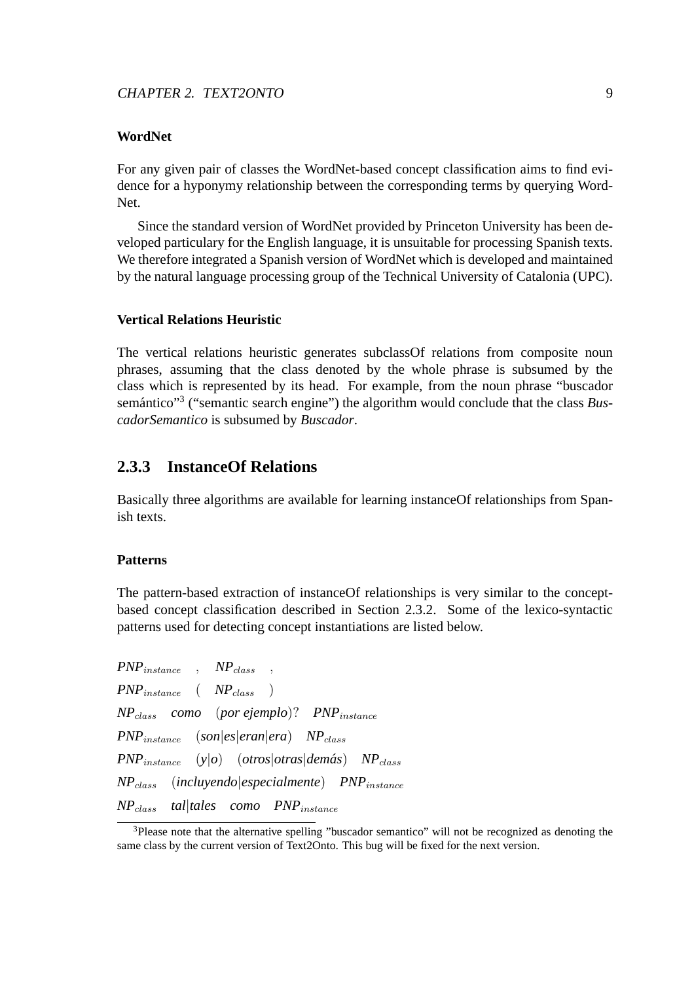### **WordNet**

For any given pair of classes the WordNet-based concept classification aims to find evidence for a hyponymy relationship between the corresponding terms by querying Word-Net.

Since the standard version of WordNet provided by Princeton University has been developed particulary for the English language, it is unsuitable for processing Spanish texts. We therefore integrated a Spanish version of WordNet which is developed and maintained by the natural language processing group of the Technical University of Catalonia (UPC).

### **Vertical Relations Heuristic**

The vertical relations heuristic generates subclassOf relations from composite noun phrases, assuming that the class denoted by the whole phrase is subsumed by the class which is represented by its head. For example, from the noun phrase "buscador semántico"<sup>3</sup> ("semantic search engine") the algorithm would conclude that the class Bus*cadorSemantico* is subsumed by *Buscador*.

## **2.3.3 InstanceOf Relations**

Basically three algorithms are available for learning instanceOf relationships from Spanish texts.

### **Patterns**

The pattern-based extraction of instanceOf relationships is very similar to the conceptbased concept classification described in Section 2.3.2. Some of the lexico-syntactic patterns used for detecting concept instantiations are listed below.

| $PNP_{instance}$ , $NP_{class}$ ,                   |  |  |                                                          |
|-----------------------------------------------------|--|--|----------------------------------------------------------|
| $PNP_{instance}$ ( $NP_{class}$ )                   |  |  |                                                          |
| $NP_{class}$ como (por ejemplo)? $PNP_{instance}$   |  |  |                                                          |
| $PNP_{instance}$ (son es   eran   era) $NP_{class}$ |  |  |                                                          |
|                                                     |  |  | $PNP_{instance}$ (y o) (otros otras demás) $NP_{class}$  |
|                                                     |  |  | $NP_{class}$ (incluyendo especialmente) $PNP_{instance}$ |
| $NP_{class}$ tal tales como $PNP_{instance}$        |  |  |                                                          |

<sup>&</sup>lt;sup>3</sup>Please note that the alternative spelling "buscador semantico" will not be recognized as denoting the same class by the current version of Text2Onto. This bug will be fixed for the next version.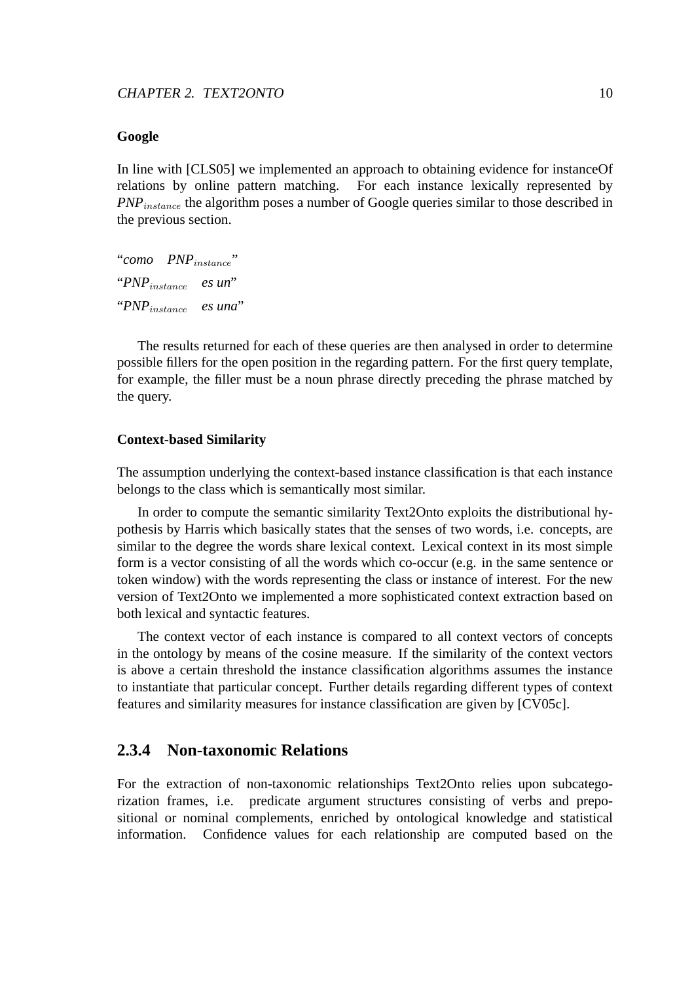### **Google**

In line with [CLS05] we implemented an approach to obtaining evidence for instanceOf relations by online pattern matching. For each instance lexically represented by *PNP*<sub>instance</sub> the algorithm poses a number of Google queries similar to those described in the previous section.

"*como PNP*instance" "*PNP*instance *es un*" "*PNP*instance *es una*"

The results returned for each of these queries are then analysed in order to determine possible fillers for the open position in the regarding pattern. For the first query template, for example, the filler must be a noun phrase directly preceding the phrase matched by the query.

### **Context-based Similarity**

The assumption underlying the context-based instance classification is that each instance belongs to the class which is semantically most similar.

In order to compute the semantic similarity Text2Onto exploits the distributional hypothesis by Harris which basically states that the senses of two words, i.e. concepts, are similar to the degree the words share lexical context. Lexical context in its most simple form is a vector consisting of all the words which co-occur (e.g. in the same sentence or token window) with the words representing the class or instance of interest. For the new version of Text2Onto we implemented a more sophisticated context extraction based on both lexical and syntactic features.

The context vector of each instance is compared to all context vectors of concepts in the ontology by means of the cosine measure. If the similarity of the context vectors is above a certain threshold the instance classification algorithms assumes the instance to instantiate that particular concept. Further details regarding different types of context features and similarity measures for instance classification are given by [CV05c].

## **2.3.4 Non-taxonomic Relations**

For the extraction of non-taxonomic relationships Text2Onto relies upon subcategorization frames, i.e. predicate argument structures consisting of verbs and prepositional or nominal complements, enriched by ontological knowledge and statistical information. Confidence values for each relationship are computed based on the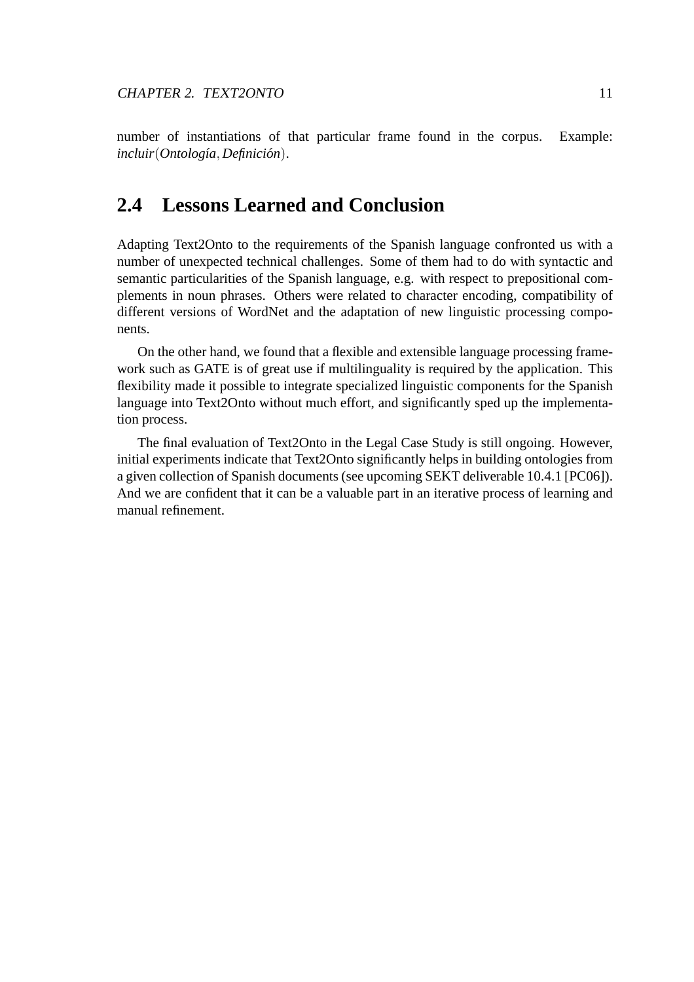number of instantiations of that particular frame found in the corpus. Example:  $incluir(Ontología, Definición)$ .

# **2.4 Lessons Learned and Conclusion**

Adapting Text2Onto to the requirements of the Spanish language confronted us with a number of unexpected technical challenges. Some of them had to do with syntactic and semantic particularities of the Spanish language, e.g. with respect to prepositional complements in noun phrases. Others were related to character encoding, compatibility of different versions of WordNet and the adaptation of new linguistic processing components.

On the other hand, we found that a flexible and extensible language processing framework such as GATE is of great use if multilinguality is required by the application. This flexibility made it possible to integrate specialized linguistic components for the Spanish language into Text2Onto without much effort, and significantly sped up the implementation process.

The final evaluation of Text2Onto in the Legal Case Study is still ongoing. However, initial experiments indicate that Text2Onto significantly helps in building ontologies from a given collection of Spanish documents (see upcoming SEKT deliverable 10.4.1 [PC06]). And we are confident that it can be a valuable part in an iterative process of learning and manual refinement.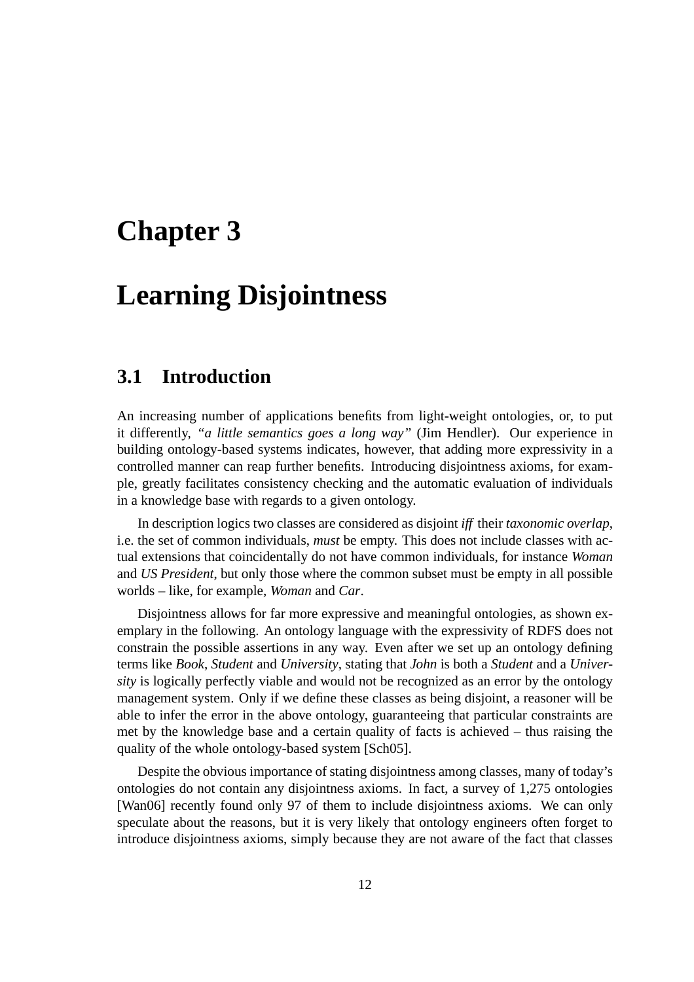# **Chapter 3**

# **Learning Disjointness**

# **3.1 Introduction**

An increasing number of applications benefits from light-weight ontologies, or, to put it differently, *"a little semantics goes a long way"* (Jim Hendler). Our experience in building ontology-based systems indicates, however, that adding more expressivity in a controlled manner can reap further benefits. Introducing disjointness axioms, for example, greatly facilitates consistency checking and the automatic evaluation of individuals in a knowledge base with regards to a given ontology.

In description logics two classes are considered as disjoint *iff* their *taxonomic overlap*, i.e. the set of common individuals, *must* be empty. This does not include classes with actual extensions that coincidentally do not have common individuals, for instance *Woman* and *US President*, but only those where the common subset must be empty in all possible worlds – like, for example, *Woman* and *Car*.

Disjointness allows for far more expressive and meaningful ontologies, as shown exemplary in the following. An ontology language with the expressivity of RDFS does not constrain the possible assertions in any way. Even after we set up an ontology defining terms like *Book*, *Student* and *University*, stating that *John* is both a *Student* and a *University* is logically perfectly viable and would not be recognized as an error by the ontology management system. Only if we define these classes as being disjoint, a reasoner will be able to infer the error in the above ontology, guaranteeing that particular constraints are met by the knowledge base and a certain quality of facts is achieved – thus raising the quality of the whole ontology-based system [Sch05].

Despite the obvious importance of stating disjointness among classes, many of today's ontologies do not contain any disjointness axioms. In fact, a survey of 1,275 ontologies [Wan06] recently found only 97 of them to include disjointness axioms. We can only speculate about the reasons, but it is very likely that ontology engineers often forget to introduce disjointness axioms, simply because they are not aware of the fact that classes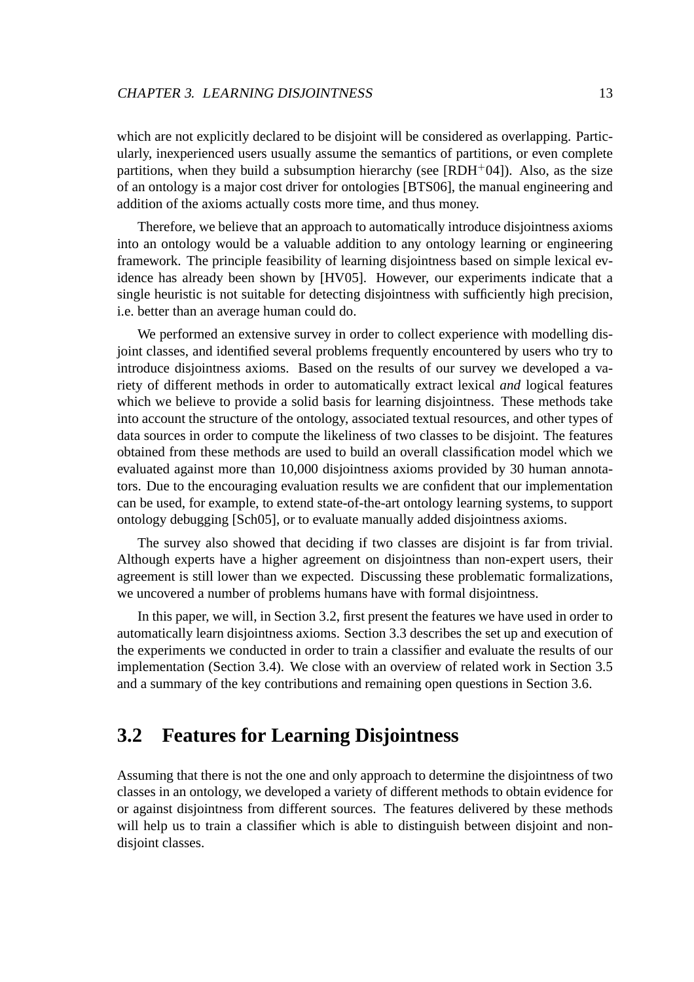### CHAPTER 3. LEARNING DISJOINTNESS 13

which are not explicitly declared to be disjoint will be considered as overlapping. Particularly, inexperienced users usually assume the semantics of partitions, or even complete partitions, when they build a subsumption hierarchy (see  $[RDH<sup>+</sup>04]$ ). Also, as the size of an ontology is a major cost driver for ontologies [BTS06], the manual engineering and addition of the axioms actually costs more time, and thus money.

Therefore, we believe that an approach to automatically introduce disjointness axioms into an ontology would be a valuable addition to any ontology learning or engineering framework. The principle feasibility of learning disjointness based on simple lexical evidence has already been shown by [HV05]. However, our experiments indicate that a single heuristic is not suitable for detecting disjointness with sufficiently high precision, i.e. better than an average human could do.

We performed an extensive survey in order to collect experience with modelling disjoint classes, and identified several problems frequently encountered by users who try to introduce disjointness axioms. Based on the results of our survey we developed a variety of different methods in order to automatically extract lexical *and* logical features which we believe to provide a solid basis for learning disjointness. These methods take into account the structure of the ontology, associated textual resources, and other types of data sources in order to compute the likeliness of two classes to be disjoint. The features obtained from these methods are used to build an overall classification model which we evaluated against more than 10,000 disjointness axioms provided by 30 human annotators. Due to the encouraging evaluation results we are confident that our implementation can be used, for example, to extend state-of-the-art ontology learning systems, to support ontology debugging [Sch05], or to evaluate manually added disjointness axioms.

The survey also showed that deciding if two classes are disjoint is far from trivial. Although experts have a higher agreement on disjointness than non-expert users, their agreement is still lower than we expected. Discussing these problematic formalizations, we uncovered a number of problems humans have with formal disjointness.

In this paper, we will, in Section 3.2, first present the features we have used in order to automatically learn disjointness axioms. Section 3.3 describes the set up and execution of the experiments we conducted in order to train a classifier and evaluate the results of our implementation (Section 3.4). We close with an overview of related work in Section 3.5 and a summary of the key contributions and remaining open questions in Section 3.6.

# **3.2 Features for Learning Disjointness**

Assuming that there is not the one and only approach to determine the disjointness of two classes in an ontology, we developed a variety of different methods to obtain evidence for or against disjointness from different sources. The features delivered by these methods will help us to train a classifier which is able to distinguish between disjoint and nondisjoint classes.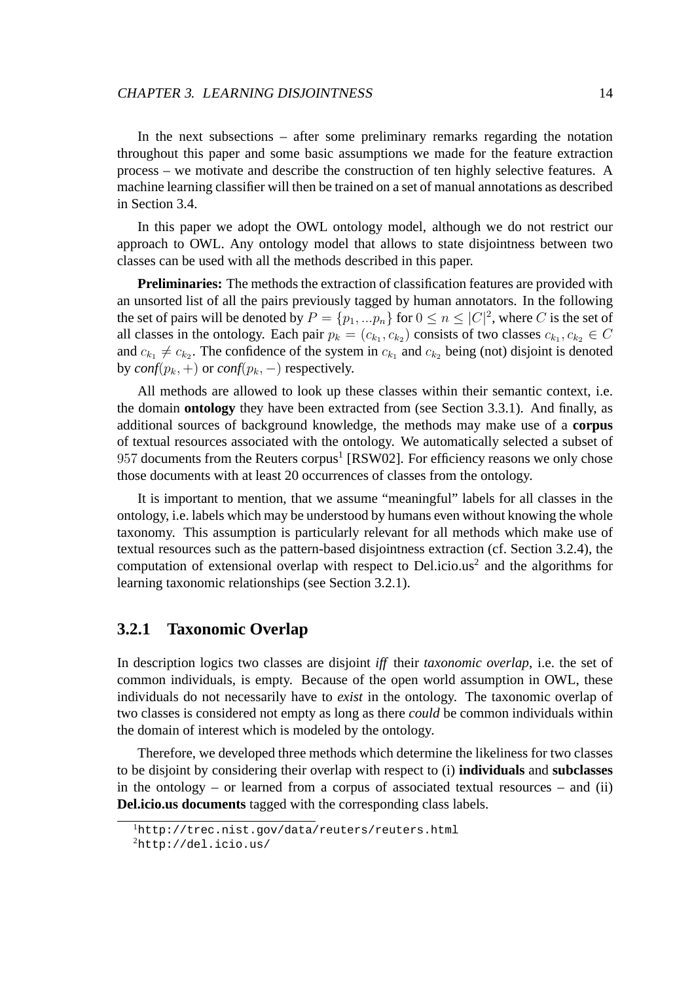### CHAPTER 3. LEARNING DISJOINTNESS 14

In the next subsections – after some preliminary remarks regarding the notation throughout this paper and some basic assumptions we made for the feature extraction process – we motivate and describe the construction of ten highly selective features. A machine learning classifier will then be trained on a set of manual annotations as described in Section 3.4.

In this paper we adopt the OWL ontology model, although we do not restrict our approach to OWL. Any ontology model that allows to state disjointness between two classes can be used with all the methods described in this paper.

**Preliminaries:** The methods the extraction of classification features are provided with an unsorted list of all the pairs previously tagged by human annotators. In the following the set of pairs will be denoted by  $P = \{p_1, ... p_n\}$  for  $0 \le n \le |C|^2$ , where  $C$  is the set of all classes in the ontology. Each pair  $p_k = (c_{k_1}, c_{k_2})$  consists of two classes  $c_{k_1}, c_{k_2} \in C$ and  $c_{k_1} \neq c_{k_2}$ . The confidence of the system in  $c_{k_1}$  and  $c_{k_2}$  being (not) disjoint is denoted by  $conf(p_k, +)$  or  $conf(p_k, -)$  respectively.

All methods are allowed to look up these classes within their semantic context, i.e. the domain **ontology** they have been extracted from (see Section 3.3.1). And finally, as additional sources of background knowledge, the methods may make use of a **corpus** of textual resources associated with the ontology. We automatically selected a subset of 957 documents from the Reuters corpus<sup>1</sup> [RSW02]. For efficiency reasons we only chose those documents with at least 20 occurrences of classes from the ontology.

It is important to mention, that we assume "meaningful" labels for all classes in the ontology, i.e. labels which may be understood by humans even without knowing the whole taxonomy. This assumption is particularly relevant for all methods which make use of textual resources such as the pattern-based disjointness extraction (cf. Section 3.2.4), the computation of extensional overlap with respect to Del.icio.us<sup>2</sup> and the algorithms for learning taxonomic relationships (see Section 3.2.1).

## **3.2.1 Taxonomic Overlap**

In description logics two classes are disjoint *iff* their *taxonomic overlap*, i.e. the set of common individuals, is empty. Because of the open world assumption in OWL, these individuals do not necessarily have to *exist* in the ontology. The taxonomic overlap of two classes is considered not empty as long as there *could* be common individuals within the domain of interest which is modeled by the ontology.

Therefore, we developed three methods which determine the likeliness for two classes to be disjoint by considering their overlap with respect to (i) **individuals** and **subclasses** in the ontology – or learned from a corpus of associated textual resources – and (ii) **Del.icio.us documents** tagged with the corresponding class labels.

<sup>1</sup>http://trec.nist.gov/data/reuters/reuters.html  ${}^{2}$ http://del.icio.us/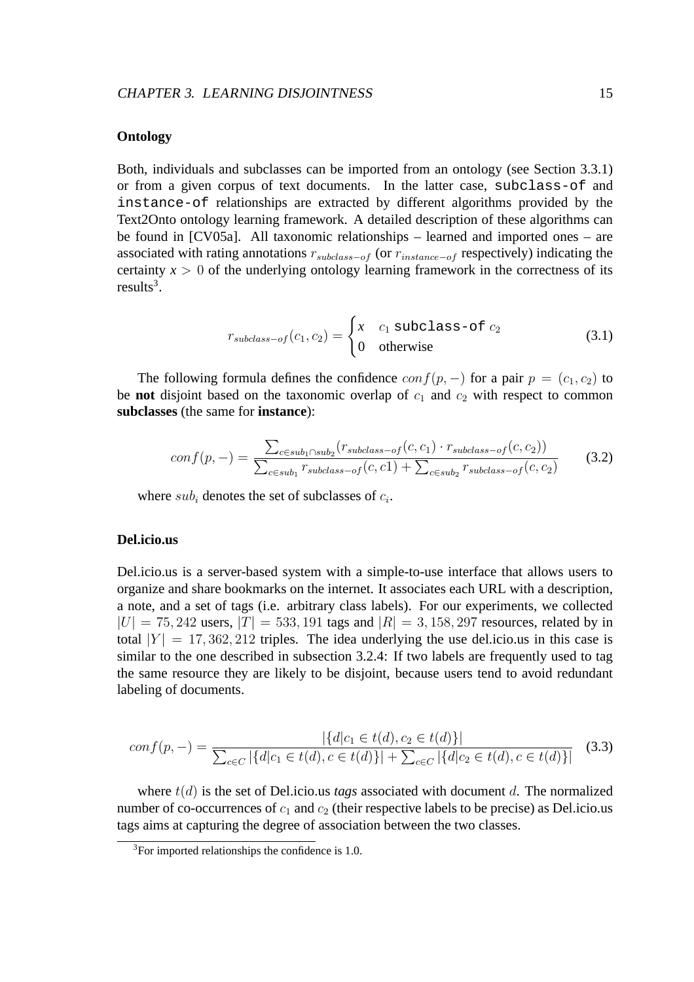### **Ontology**

Both, individuals and subclasses can be imported from an ontology (see Section 3.3.1) or from a given corpus of text documents. In the latter case, subclass-of and instance-of relationships are extracted by different algorithms provided by the Text2Onto ontology learning framework. A detailed description of these algorithms can be found in [CV05a]. All taxonomic relationships – learned and imported ones – are associated with rating annotations  $r_{subclass-of}$  (or  $r_{instance-of}$  respectively) indicating the certainty  $x > 0$  of the underlying ontology learning framework in the correctness of its results<sup>3</sup>.

$$
r_{subclass-of}(c_1, c_2) = \begin{cases} x & c_1 \text{ subclass-of } c_2 \\ 0 & \text{otherwise} \end{cases}
$$
 (3.1)

The following formula defines the confidence  $conf(p, -)$  for a pair  $p = (c_1, c_2)$  to be **not** disjoint based on the taxonomic overlap of  $c_1$  and  $c_2$  with respect to common **subclasses** (the same for **instance**):

$$
conf(p,-) = \frac{\sum_{c \in sub_1 \cap sub_2} (r_{subclass-of}(c, c_1) \cdot r_{subclass-of}(c, c_2))}{\sum_{c \in sub_1} r_{subclass-of}(c, c_1) + \sum_{c \in sub_2} r_{subclass-of}(c, c_2)}
$$
(3.2)

where  $sub_i$  denotes the set of subclasses of  $c_i$ .

### **Del.icio.us**

Del.icio.us is a server-based system with a simple-to-use interface that allows users to organize and share bookmarks on the internet. It associates each URL with a description, a note, and a set of tags (i.e. arbitrary class labels). For our experiments, we collected  $|U| = 75,242$  users,  $|T| = 533,191$  tags and  $|R| = 3,158,297$  resources, related by in total  $|Y| = 17,362,212$  triples. The idea underlying the use del.icio.us in this case is similar to the one described in subsection 3.2.4: If two labels are frequently used to tag the same resource they are likely to be disjoint, because users tend to avoid redundant labeling of documents.

$$
conf(p,-) = \frac{|\{d|c_1 \in t(d), c_2 \in t(d)\}|}{\sum_{c \in C} |\{d|c_1 \in t(d), c \in t(d)\}| + \sum_{c \in C} |\{d|c_2 \in t(d), c \in t(d)\}|}
$$
(3.3)

where  $t(d)$  is the set of Del.icio.us *tags* associated with document d. The normalized number of co-occurrences of  $c_1$  and  $c_2$  (their respective labels to be precise) as Del.icio.us tags aims at capturing the degree of association between the two classes.

 $3$ For imported relationships the confidence is 1.0.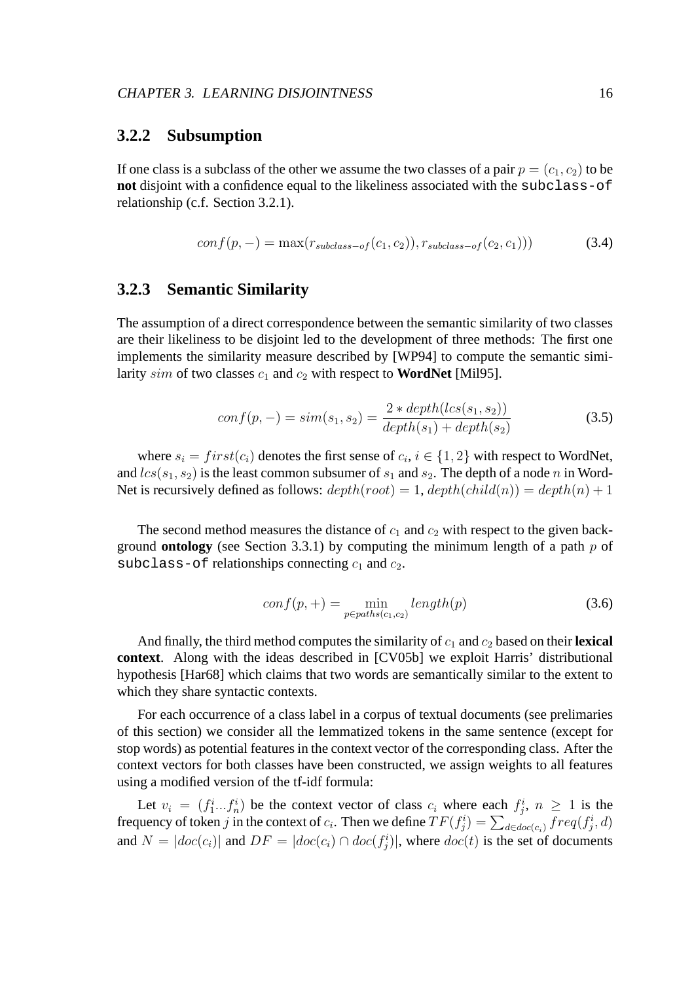## **3.2.2 Subsumption**

If one class is a subclass of the other we assume the two classes of a pair  $p = (c_1, c_2)$  to be **not** disjoint with a confidence equal to the likeliness associated with the subclass-of relationship (c.f. Section 3.2.1).

$$
conf(p,-) = \max(r_{subclass-of}(c_1,c_2)), r_{subclass-of}(c_2,c_1)))
$$
\n(3.4)

## **3.2.3 Semantic Similarity**

The assumption of a direct correspondence between the semantic similarity of two classes are their likeliness to be disjoint led to the development of three methods: The first one implements the similarity measure described by [WP94] to compute the semantic similarity  $sim$  of two classes  $c_1$  and  $c_2$  with respect to **WordNet** [Mil95].

$$
conf(p, -) = sim(s_1, s_2) = \frac{2 * depth(lcs(s_1, s_2))}{depth(s_1) + depth(s_2)}
$$
\n(3.5)

where  $s_i = first(c_i)$  denotes the first sense of  $c_i, i \in \{1, 2\}$  with respect to WordNet, and  $lcs(s_1, s_2)$  is the least common subsumer of  $s_1$  and  $s_2$ . The depth of a node n in Word-Net is recursively defined as follows:  $depth(root) = 1, depth(child(n)) = depth(n) + 1$ 

The second method measures the distance of  $c_1$  and  $c_2$  with respect to the given background **ontology** (see Section 3.3.1) by computing the minimum length of a path  $p$  of subclass-of relationships connecting  $c_1$  and  $c_2$ .

$$
conf(p,+) = \min_{p \in paths(c_1, c_2)} length(p)
$$
\n(3.6)

And finally, the third method computes the similarity of  $c_1$  and  $c_2$  based on their **lexical context**. Along with the ideas described in [CV05b] we exploit Harris' distributional hypothesis [Har68] which claims that two words are semantically similar to the extent to which they share syntactic contexts.

For each occurrence of a class label in a corpus of textual documents (see prelimaries of this section) we consider all the lemmatized tokens in the same sentence (except for stop words) as potential features in the context vector of the corresponding class. After the context vectors for both classes have been constructed, we assign weights to all features using a modified version of the tf-idf formula:

Let  $v_i = (f_1^i...f_n^i)$  be the context vector of class  $c_i$  where each  $f_j^i$ ,  $n \ge 1$  is the Let  $v_i = (f_1...f_n)$  be the context vector of class  $c_i$  where each  $f_j$ ,  $n \ge 1$  is the frequency of token j in the context of  $c_i$ . Then we define  $TF(f_j^i) = \sum_{d \in doc(c_i)} freq(f_j^i, d)$ and  $N = |doc(c_i)|$  and  $DF = |doc(c_i) \cap doc(f_j^i)|$ , where  $doc(t)$  is the set of documents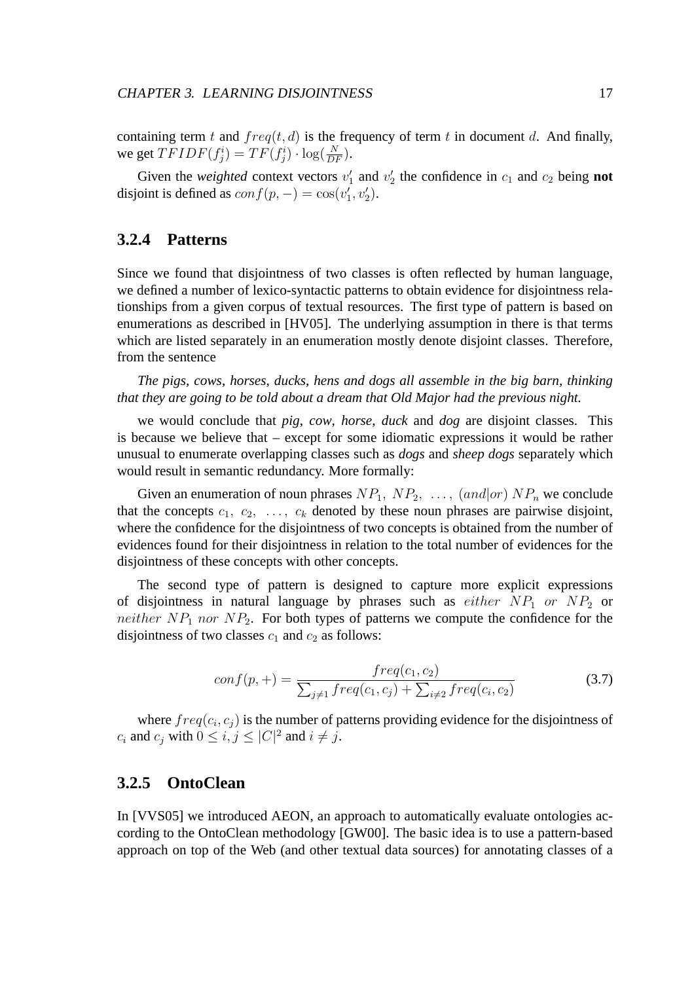containing term t and  $freq(t, d)$  is the frequency of term t in document d. And finally, we get  $TFIDF(f_j^i) = TF(f_j^i) \cdot \log(\frac{N}{DF}).$ 

Given the *weighted* context vectors  $v'_1$  and  $v'_2$  the confidence in  $c_1$  and  $c_2$  being **not** disjoint is defined as  $conf(p, -) = cos(v'_1, v'_2)$ .

## **3.2.4 Patterns**

Since we found that disjointness of two classes is often reflected by human language, we defined a number of lexico-syntactic patterns to obtain evidence for disjointness relationships from a given corpus of textual resources. The first type of pattern is based on enumerations as described in [HV05]. The underlying assumption in there is that terms which are listed separately in an enumeration mostly denote disjoint classes. Therefore, from the sentence

*The pigs, cows, horses, ducks, hens and dogs all assemble in the big barn, thinking that they are going to be told about a dream that Old Major had the previous night.*

we would conclude that *pig*, *cow*, *horse*, *duck* and *dog* are disjoint classes. This is because we believe that – except for some idiomatic expressions it would be rather unusual to enumerate overlapping classes such as *dogs* and *sheep dogs* separately which would result in semantic redundancy. More formally:

Given an enumeration of noun phrases  $NP_1$ ,  $NP_2$ , ...,  $(and|or) NP_n$  we conclude that the concepts  $c_1, c_2, \ldots, c_k$  denoted by these noun phrases are pairwise disjoint, where the confidence for the disjointness of two concepts is obtained from the number of evidences found for their disjointness in relation to the total number of evidences for the disjointness of these concepts with other concepts.

The second type of pattern is designed to capture more explicit expressions of disjointness in natural language by phrases such as  $either$   $NP_1$  or  $NP_2$  or *neither*  $NP_1$  *nor*  $NP_2$ . For both types of patterns we compute the confidence for the disjointness of two classes  $c_1$  and  $c_2$  as follows:

$$
conf(p,+) = \frac{freq(c_1, c_2)}{\sum_{j \neq 1} freq(c_1, c_j) + \sum_{i \neq 2} freq(c_i, c_2)}
$$
(3.7)

where  $freq(c_i, c_j)$  is the number of patterns providing evidence for the disjointness of  $c_i$  and  $c_j$  with  $0 \le i, j \le |C|^2$  and  $i \ne j$ .

### **3.2.5 OntoClean**

In [VVS05] we introduced AEON, an approach to automatically evaluate ontologies according to the OntoClean methodology [GW00]. The basic idea is to use a pattern-based approach on top of the Web (and other textual data sources) for annotating classes of a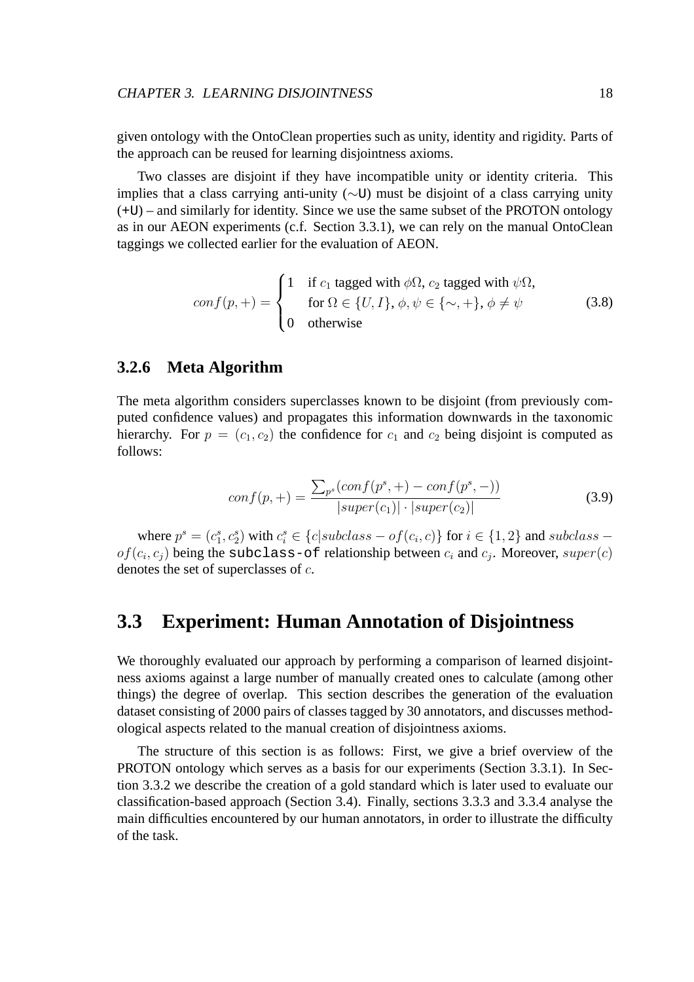given ontology with the OntoClean properties such as unity, identity and rigidity. Parts of the approach can be reused for learning disjointness axioms.

Two classes are disjoint if they have incompatible unity or identity criteria. This implies that a class carrying anti-unity ( $\sim$ U) must be disjoint of a class carrying unity (+U) – and similarly for identity. Since we use the same subset of the PROTON ontology as in our AEON experiments (c.f. Section 3.3.1), we can rely on the manual OntoClean taggings we collected earlier for the evaluation of AEON.

$$
conf(p,+) = \begin{cases} 1 & \text{if } c_1 \text{ tagged with } \phi\Omega, c_2 \text{ tagged with } \psi\Omega, \\ & \text{for } \Omega \in \{U, I\}, \phi, \psi \in \{\sim, +\}, \phi \neq \psi \\ 0 & \text{otherwise} \end{cases}
$$
(3.8)

### **3.2.6 Meta Algorithm**

The meta algorithm considers superclasses known to be disjoint (from previously computed confidence values) and propagates this information downwards in the taxonomic hierarchy. For  $p = (c_1, c_2)$  the confidence for  $c_1$  and  $c_2$  being disjoint is computed as follows:

$$
conf(p, +) = \frac{\sum_{p^s}(conf(p^s, +) - conf(p^s, -))}{|super(c_1)| \cdot |super(c_2)|}
$$
\n(3.9)

where  $p^s = (c_1^s, c_2^s)$  with  $c_i^s \in \{c|subclass - of(c_i, c)\}\$  for  $i \in \{1, 2\}$  and subclass –  $of(c_i, c_j)$  being the subclass-of relationship between  $c_i$  and  $c_j$ . Moreover,  $super(c)$ denotes the set of superclasses of c.

# **3.3 Experiment: Human Annotation of Disjointness**

We thoroughly evaluated our approach by performing a comparison of learned disjointness axioms against a large number of manually created ones to calculate (among other things) the degree of overlap. This section describes the generation of the evaluation dataset consisting of 2000 pairs of classes tagged by 30 annotators, and discusses methodological aspects related to the manual creation of disjointness axioms.

The structure of this section is as follows: First, we give a brief overview of the PROTON ontology which serves as a basis for our experiments (Section 3.3.1). In Section 3.3.2 we describe the creation of a gold standard which is later used to evaluate our classification-based approach (Section 3.4). Finally, sections 3.3.3 and 3.3.4 analyse the main difficulties encountered by our human annotators, in order to illustrate the difficulty of the task.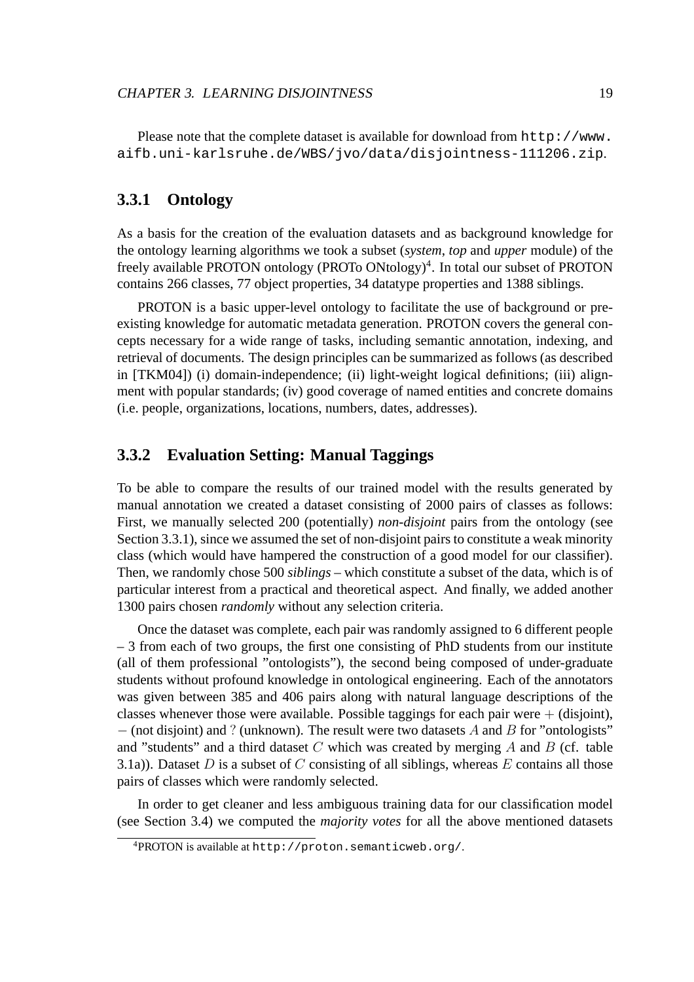Please note that the complete dataset is available for download from http://www. aifb.uni-karlsruhe.de/WBS/jvo/data/disjointness-111206.zip.

## **3.3.1 Ontology**

As a basis for the creation of the evaluation datasets and as background knowledge for the ontology learning algorithms we took a subset (*system*, *top* and *upper* module) of the freely available PROTON ontology (PROTo ONtology)<sup>4</sup>. In total our subset of PROTON contains 266 classes, 77 object properties, 34 datatype properties and 1388 siblings.

PROTON is a basic upper-level ontology to facilitate the use of background or preexisting knowledge for automatic metadata generation. PROTON covers the general concepts necessary for a wide range of tasks, including semantic annotation, indexing, and retrieval of documents. The design principles can be summarized as follows (as described in [TKM04]) (i) domain-independence; (ii) light-weight logical definitions; (iii) alignment with popular standards; (iv) good coverage of named entities and concrete domains (i.e. people, organizations, locations, numbers, dates, addresses).

## **3.3.2 Evaluation Setting: Manual Taggings**

To be able to compare the results of our trained model with the results generated by manual annotation we created a dataset consisting of 2000 pairs of classes as follows: First, we manually selected 200 (potentially) *non-disjoint* pairs from the ontology (see Section 3.3.1), since we assumed the set of non-disjoint pairs to constitute a weak minority class (which would have hampered the construction of a good model for our classifier). Then, we randomly chose 500 *siblings* – which constitute a subset of the data, which is of particular interest from a practical and theoretical aspect. And finally, we added another 1300 pairs chosen *randomly* without any selection criteria.

Once the dataset was complete, each pair was randomly assigned to 6 different people – 3 from each of two groups, the first one consisting of PhD students from our institute (all of them professional "ontologists"), the second being composed of under-graduate students without profound knowledge in ontological engineering. Each of the annotators was given between 385 and 406 pairs along with natural language descriptions of the classes whenever those were available. Possible taggings for each pair were  $+$  (disjoint),  $-$  (not disjoint) and ? (unknown). The result were two datasets A and B for "ontologists" and "students" and a third dataset  $C$  which was created by merging  $A$  and  $B$  (cf. table 3.1a)). Dataset D is a subset of C consisting of all siblings, whereas  $E$  contains all those pairs of classes which were randomly selected.

In order to get cleaner and less ambiguous training data for our classification model (see Section 3.4) we computed the *majority votes* for all the above mentioned datasets

<sup>4</sup>PROTON is available at http://proton.semanticweb.org/.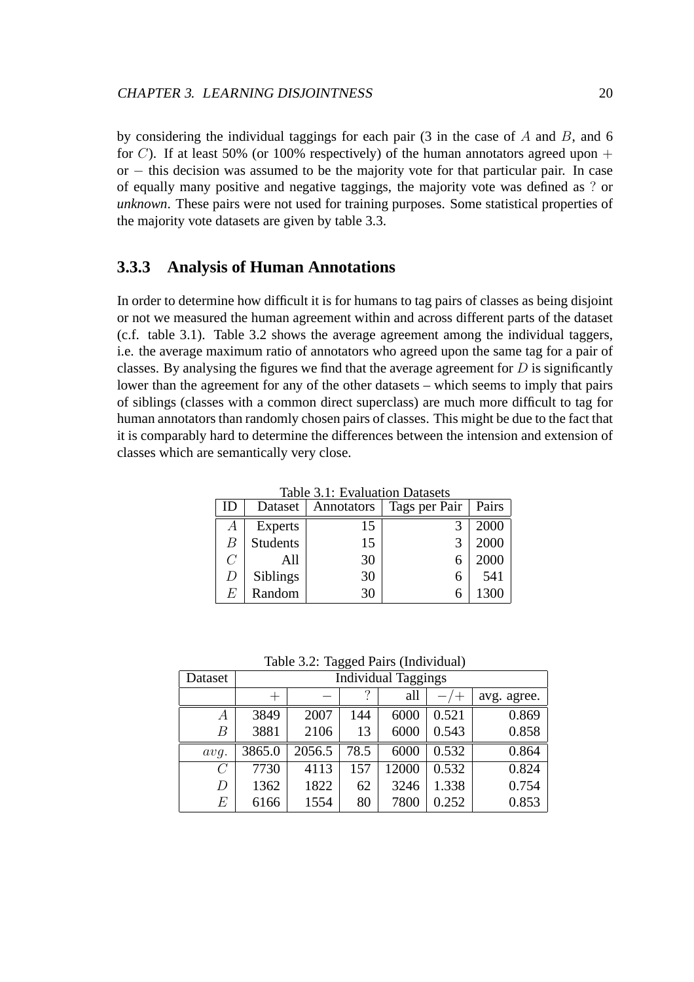by considering the individual taggings for each pair (3 in the case of A and B, and 6 for C). If at least 50% (or 100% respectively) of the human annotators agreed upon  $+$ or − this decision was assumed to be the majority vote for that particular pair. In case of equally many positive and negative taggings, the majority vote was defined as ? or *unknown*. These pairs were not used for training purposes. Some statistical properties of the majority vote datasets are given by table 3.3.

## **3.3.3 Analysis of Human Annotations**

In order to determine how difficult it is for humans to tag pairs of classes as being disjoint or not we measured the human agreement within and across different parts of the dataset (c.f. table 3.1). Table 3.2 shows the average agreement among the individual taggers, i.e. the average maximum ratio of annotators who agreed upon the same tag for a pair of classes. By analysing the figures we find that the average agreement for  $D$  is significantly lower than the agreement for any of the other datasets – which seems to imply that pairs of siblings (classes with a common direct superclass) are much more difficult to tag for human annotators than randomly chosen pairs of classes. This might be due to the fact that it is comparably hard to determine the differences between the intension and extension of classes which are semantically very close.

| ID             | Dataset         | Annotators | Tags per Pair | Pairs |
|----------------|-----------------|------------|---------------|-------|
| А              | Experts         | 15         |               | 2000  |
| В              | <b>Students</b> | 15         |               | 2000  |
| $\overline{C}$ | All             | 30         |               | 2000  |
| D              | Siblings        | 30         | 6             | 541   |
| F,             | Random          | 30         |               |       |

Table 3.1: Evaluation Datasets

Table 3.2: Tagged Pairs (Individual)

| Dataset |                    | ີ<br><b>Individual Taggings</b> |      |       |       |             |  |
|---------|--------------------|---------------------------------|------|-------|-------|-------------|--|
|         | $\hspace{0.1mm} +$ |                                 | ?    | all   |       | avg. agree. |  |
| А       | 3849               | 2007                            | 144  | 6000  | 0.521 | 0.869       |  |
| В       | 3881               | 2106                            | 13   | 6000  | 0.543 | 0.858       |  |
| avq.    | 3865.0             | 2056.5                          | 78.5 | 6000  | 0.532 | 0.864       |  |
| C       | 7730               | 4113                            | 157  | 12000 | 0.532 | 0.824       |  |
| D       | 1362               | 1822                            | 62   | 3246  | 1.338 | 0.754       |  |
| E       | 6166               | 1554                            | 80   | 7800  | 0.252 | 0.853       |  |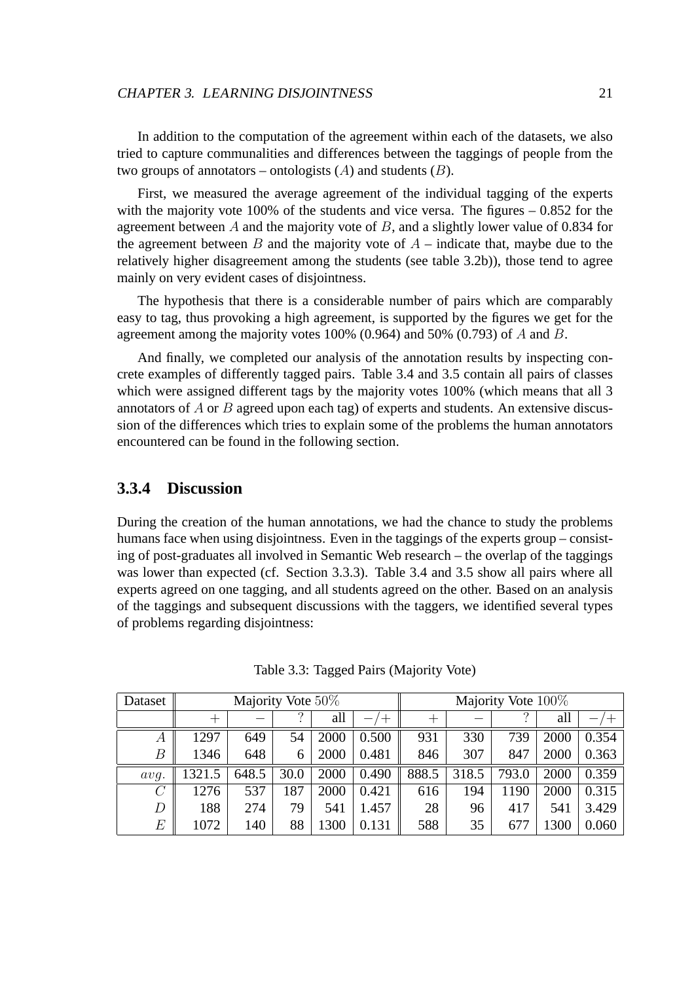### CHAPTER 3. LEARNING DISJOINTNESS 21

In addition to the computation of the agreement within each of the datasets, we also tried to capture communalities and differences between the taggings of people from the two groups of annotators – ontologists  $(A)$  and students  $(B)$ .

First, we measured the average agreement of the individual tagging of the experts with the majority vote 100% of the students and vice versa. The figures – 0.852 for the agreement between  $A$  and the majority vote of  $B$ , and a slightly lower value of 0.834 for the agreement between  $B$  and the majority vote of  $A$  – indicate that, maybe due to the relatively higher disagreement among the students (see table 3.2b)), those tend to agree mainly on very evident cases of disjointness.

The hypothesis that there is a considerable number of pairs which are comparably easy to tag, thus provoking a high agreement, is supported by the figures we get for the agreement among the majority votes  $100\%$  (0.964) and 50% (0.793) of A and B.

And finally, we completed our analysis of the annotation results by inspecting concrete examples of differently tagged pairs. Table 3.4 and 3.5 contain all pairs of classes which were assigned different tags by the majority votes 100% (which means that all 3 annotators of  $A$  or  $B$  agreed upon each tag) of experts and students. An extensive discussion of the differences which tries to explain some of the problems the human annotators encountered can be found in the following section.

### **3.3.4 Discussion**

During the creation of the human annotations, we had the chance to study the problems humans face when using disjointness. Even in the taggings of the experts group – consisting of post-graduates all involved in Semantic Web research – the overlap of the taggings was lower than expected (cf. Section 3.3.3). Table 3.4 and 3.5 show all pairs where all experts agreed on one tagging, and all students agreed on the other. Based on an analysis of the taggings and subsequent discussions with the taggers, we identified several types of problems regarding disjointness:

| Dataset          |       | Majority Vote 50% |      |      |       |       |       | Majority Vote 100\% |      |       |
|------------------|-------|-------------------|------|------|-------|-------|-------|---------------------|------|-------|
|                  | +     |                   | ച    | all  |       |       |       | ച                   | all  |       |
| А                | 1297  | 649               | 54   | 2000 | 0.500 | 931   | 330   | 739                 | 2000 | 0.354 |
| $\boldsymbol{B}$ | 1346  | 648               | 6    | 2000 | 0.481 | 846   | 307   | 847                 | 2000 | 0.363 |
| avq.             | 321.5 | 648.5             | 30.0 | 2000 | 0.490 | 888.5 | 318.5 | 793.0               | 2000 | 0.359 |
| $\overline{C}$   | 1276  | 537               | 187  | 2000 | 0.421 | 616   | 194   | 1190                | 2000 | 0.315 |
| D                | 188   | 274               | 79   | 541  | .457  | 28    | 96    | 417                 | 541  | 3.429 |
| E                | 1072  | 140               | 88   | 300  | 0.131 | 588   | 35    | 677                 | 1300 | 0.060 |

Table 3.3: Tagged Pairs (Majority Vote)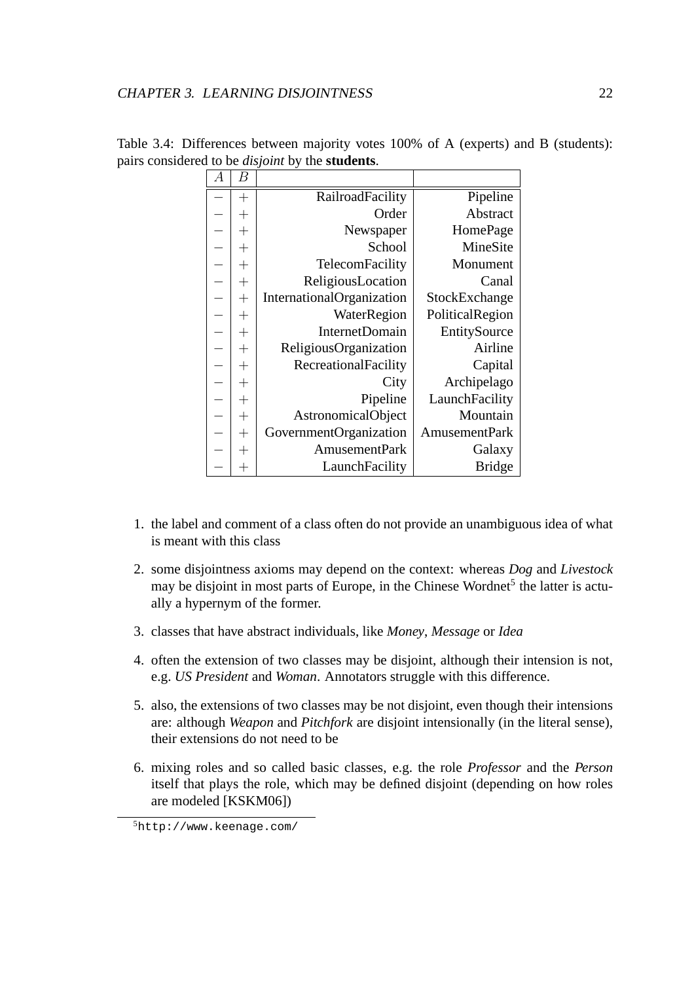| A | $\overline{B}$     |                           |                 |
|---|--------------------|---------------------------|-----------------|
|   | $^{+}$             | RailroadFacility          | Pipeline        |
|   | $^+$               | Order                     | Abstract        |
|   | $\hspace{0.1mm} +$ | Newspaper                 | HomePage        |
|   | $^+$               | School                    | MineSite        |
|   | $^{+}$             | TelecomFacility           | Monument        |
|   | $^{+}$             | ReligiousLocation         | Canal           |
|   | $^{+}$             | InternationalOrganization | StockExchange   |
|   | $^{+}$             | WaterRegion               | PoliticalRegion |
|   | $^{+}$             | <b>InternetDomain</b>     | EntitySource    |
|   | $^{+}$             | ReligiousOrganization     | Airline         |
|   | $^{+}$             | RecreationalFacility      | Capital         |
|   | $\hspace{0.1mm} +$ | City                      | Archipelago     |
|   | $\hspace{0.1mm} +$ | Pipeline                  | LaunchFacility  |
|   | $^{+}$             | AstronomicalObject        | Mountain        |
|   | $^{+}$             | GovernmentOrganization    | AmusementPark   |
|   | $\hspace{0.1mm} +$ | <b>AmusementPark</b>      | Galaxy          |
|   | $\hspace{0.1mm} +$ | LaunchFacility            | <b>Bridge</b>   |

Table 3.4: Differences between majority votes 100% of A (experts) and B (students): pairs considered to be *disjoint* by the **students**.

- 1. the label and comment of a class often do not provide an unambiguous idea of what is meant with this class
- 2. some disjointness axioms may depend on the context: whereas *Dog* and *Livestock* may be disjoint in most parts of Europe, in the Chinese Wordnet<sup>5</sup> the latter is actually a hypernym of the former.
- 3. classes that have abstract individuals, like *Money*, *Message* or *Idea*
- 4. often the extension of two classes may be disjoint, although their intension is not, e.g. *US President* and *Woman*. Annotators struggle with this difference.
- 5. also, the extensions of two classes may be not disjoint, even though their intensions are: although *Weapon* and *Pitchfork* are disjoint intensionally (in the literal sense), their extensions do not need to be
- 6. mixing roles and so called basic classes, e.g. the role *Professor* and the *Person* itself that plays the role, which may be defined disjoint (depending on how roles are modeled [KSKM06])

<sup>5</sup>http://www.keenage.com/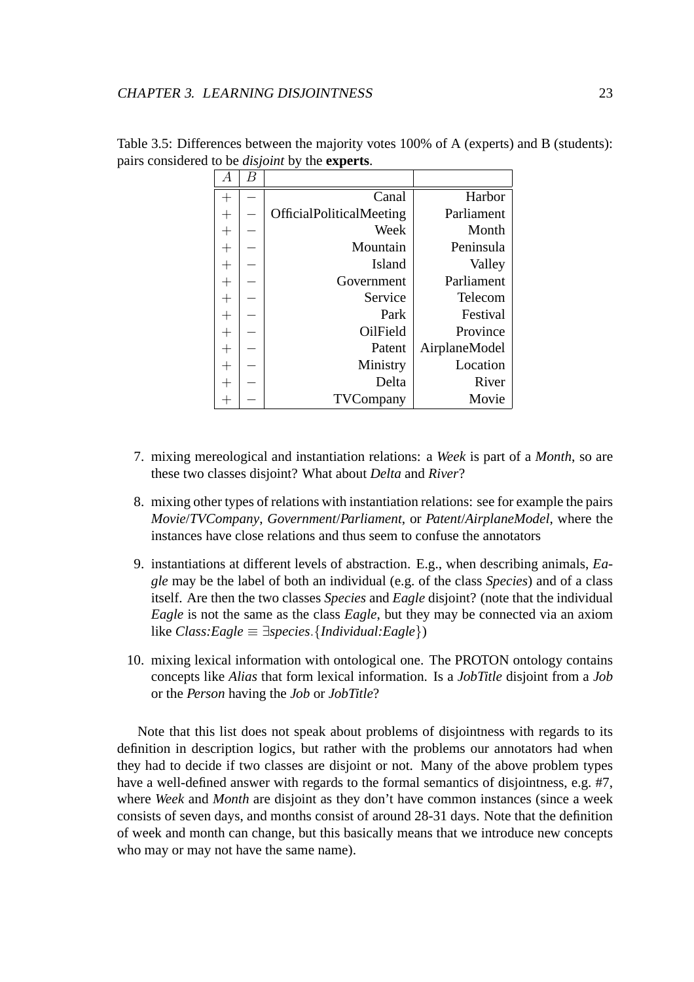|        | B |                                 |               |
|--------|---|---------------------------------|---------------|
|        |   | Canal                           | Harbor        |
|        |   | <b>OfficialPoliticalMeeting</b> | Parliament    |
|        |   | Week                            | Month         |
|        |   | Mountain                        | Peninsula     |
|        |   | Island                          | Valley        |
| $^{+}$ |   | Government                      | Parliament    |
|        |   | Service                         | Telecom       |
|        |   | Park                            | Festival      |
|        |   | OilField                        | Province      |
|        |   | Patent                          | AirplaneModel |
|        |   | Ministry                        | Location      |
|        |   | Delta                           | River         |
|        |   | TVCompany                       | Movie         |

Table 3.5: Differences between the majority votes 100% of A (experts) and B (students): pairs considered to be *disjoint* by the **experts**.

- 7. mixing mereological and instantiation relations: a *Week* is part of a *Month*, so are these two classes disjoint? What about *Delta* and *River*?
- 8. mixing other types of relations with instantiation relations: see for example the pairs *Movie*/*TVCompany*, *Government*/*Parliament*, or *Patent*/*AirplaneModel*, where the instances have close relations and thus seem to confuse the annotators
- 9. instantiations at different levels of abstraction. E.g., when describing animals, *Eagle* may be the label of both an individual (e.g. of the class *Species*) and of a class itself. Are then the two classes *Species* and *Eagle* disjoint? (note that the individual *Eagle* is not the same as the class *Eagle*, but they may be connected via an axiom like *Class:Eagle* ≡ ∃*species*.{*Individual:Eagle*})
- 10. mixing lexical information with ontological one. The PROTON ontology contains concepts like *Alias* that form lexical information. Is a *JobTitle* disjoint from a *Job* or the *Person* having the *Job* or *JobTitle*?

Note that this list does not speak about problems of disjointness with regards to its definition in description logics, but rather with the problems our annotators had when they had to decide if two classes are disjoint or not. Many of the above problem types have a well-defined answer with regards to the formal semantics of disjointness, e.g. #7, where *Week* and *Month* are disjoint as they don't have common instances (since a week consists of seven days, and months consist of around 28-31 days. Note that the definition of week and month can change, but this basically means that we introduce new concepts who may or may not have the same name).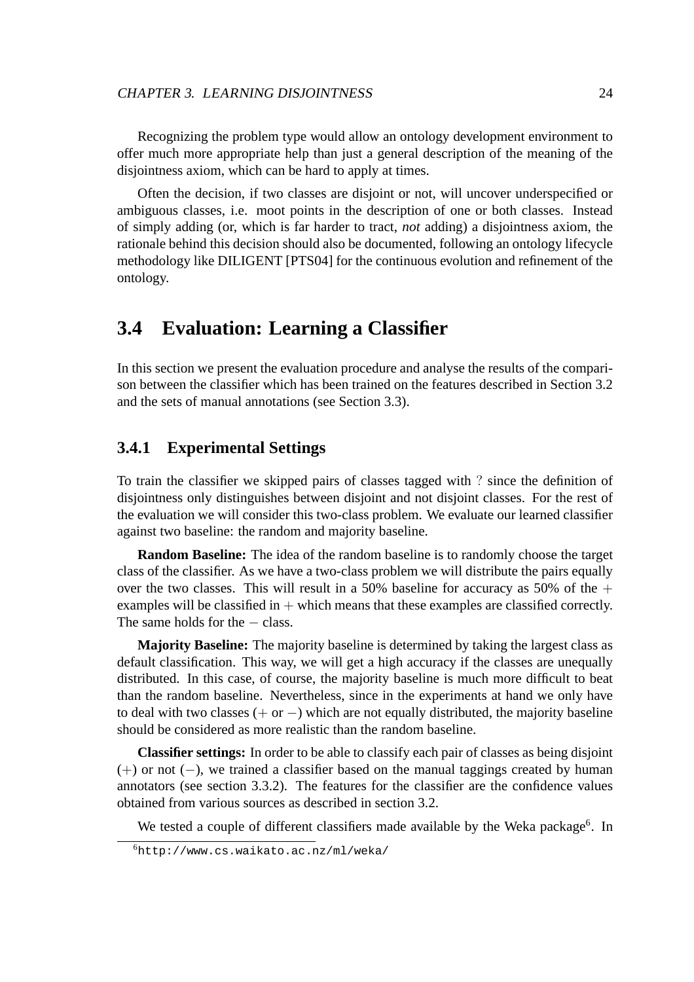### CHAPTER 3. LEARNING DISJOINTNESS 24

Recognizing the problem type would allow an ontology development environment to offer much more appropriate help than just a general description of the meaning of the disjointness axiom, which can be hard to apply at times.

Often the decision, if two classes are disjoint or not, will uncover underspecified or ambiguous classes, i.e. moot points in the description of one or both classes. Instead of simply adding (or, which is far harder to tract, *not* adding) a disjointness axiom, the rationale behind this decision should also be documented, following an ontology lifecycle methodology like DILIGENT [PTS04] for the continuous evolution and refinement of the ontology.

# **3.4 Evaluation: Learning a Classifier**

In this section we present the evaluation procedure and analyse the results of the comparison between the classifier which has been trained on the features described in Section 3.2 and the sets of manual annotations (see Section 3.3).

## **3.4.1 Experimental Settings**

To train the classifier we skipped pairs of classes tagged with ? since the definition of disjointness only distinguishes between disjoint and not disjoint classes. For the rest of the evaluation we will consider this two-class problem. We evaluate our learned classifier against two baseline: the random and majority baseline.

**Random Baseline:** The idea of the random baseline is to randomly choose the target class of the classifier. As we have a two-class problem we will distribute the pairs equally over the two classes. This will result in a 50% baseline for accuracy as 50% of the  $+$ examples will be classified in  $+$  which means that these examples are classified correctly. The same holds for the  $-$  class.

**Majority Baseline:** The majority baseline is determined by taking the largest class as default classification. This way, we will get a high accuracy if the classes are unequally distributed. In this case, of course, the majority baseline is much more difficult to beat than the random baseline. Nevertheless, since in the experiments at hand we only have to deal with two classes  $(+ or -)$  which are not equally distributed, the majority baseline should be considered as more realistic than the random baseline.

**Classifier settings:** In order to be able to classify each pair of classes as being disjoint (+) or not (−), we trained a classifier based on the manual taggings created by human annotators (see section 3.3.2). The features for the classifier are the confidence values obtained from various sources as described in section 3.2.

We tested a couple of different classifiers made available by the Weka package<sup>6</sup>. In

<sup>6</sup>http://www.cs.waikato.ac.nz/ml/weka/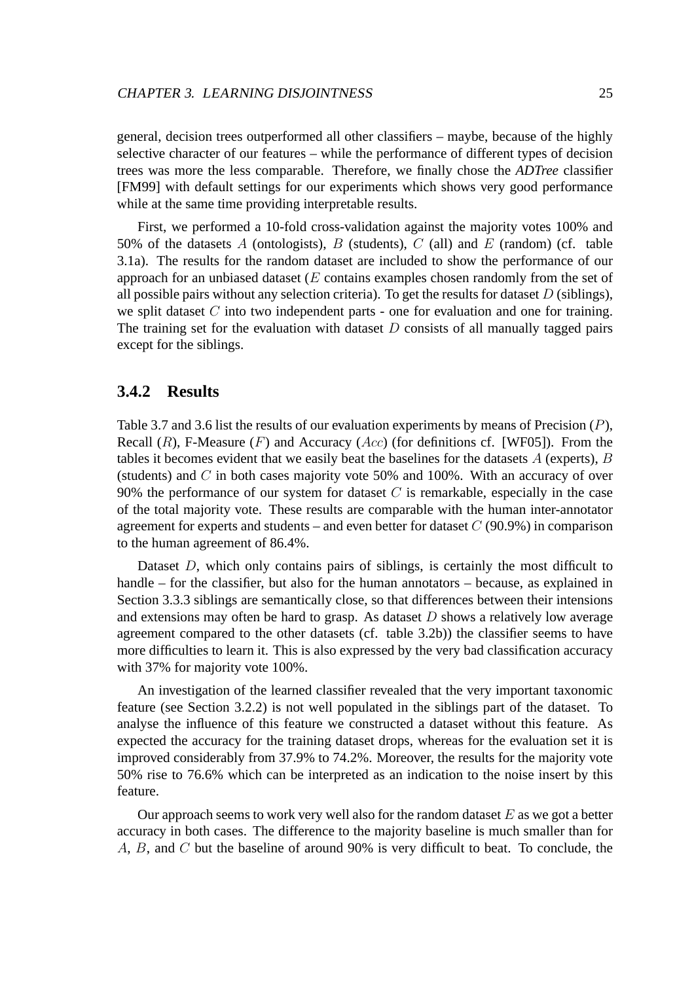general, decision trees outperformed all other classifiers – maybe, because of the highly selective character of our features – while the performance of different types of decision trees was more the less comparable. Therefore, we finally chose the *ADTree* classifier [FM99] with default settings for our experiments which shows very good performance while at the same time providing interpretable results.

First, we performed a 10-fold cross-validation against the majority votes 100% and 50% of the datasets A (ontologists), B (students), C (all) and E (random) (cf. table 3.1a). The results for the random dataset are included to show the performance of our approach for an unbiased dataset  $(E$  contains examples chosen randomly from the set of all possible pairs without any selection criteria). To get the results for dataset  $D$  (siblings), we split dataset C into two independent parts - one for evaluation and one for training. The training set for the evaluation with dataset  $D$  consists of all manually tagged pairs except for the siblings.

## **3.4.2 Results**

Table 3.7 and 3.6 list the results of our evaluation experiments by means of Precision  $(P)$ , Recall  $(R)$ , F-Measure  $(F)$  and Accuracy  $(Acc)$  (for definitions cf. [WF05]). From the tables it becomes evident that we easily beat the baselines for the datasets A (experts), B (students) and C in both cases majority vote 50% and 100%. With an accuracy of over 90% the performance of our system for dataset  $C$  is remarkable, especially in the case of the total majority vote. These results are comparable with the human inter-annotator agreement for experts and students – and even better for dataset  $C$  (90.9%) in comparison to the human agreement of 86.4%.

Dataset  $D$ , which only contains pairs of siblings, is certainly the most difficult to handle – for the classifier, but also for the human annotators – because, as explained in Section 3.3.3 siblings are semantically close, so that differences between their intensions and extensions may often be hard to grasp. As dataset  $D$  shows a relatively low average agreement compared to the other datasets (cf. table 3.2b)) the classifier seems to have more difficulties to learn it. This is also expressed by the very bad classification accuracy with 37% for majority vote 100%.

An investigation of the learned classifier revealed that the very important taxonomic feature (see Section 3.2.2) is not well populated in the siblings part of the dataset. To analyse the influence of this feature we constructed a dataset without this feature. As expected the accuracy for the training dataset drops, whereas for the evaluation set it is improved considerably from 37.9% to 74.2%. Moreover, the results for the majority vote 50% rise to 76.6% which can be interpreted as an indication to the noise insert by this feature.

Our approach seems to work very well also for the random dataset  $E$  as we got a better accuracy in both cases. The difference to the majority baseline is much smaller than for A, B, and C but the baseline of around 90% is very difficult to beat. To conclude, the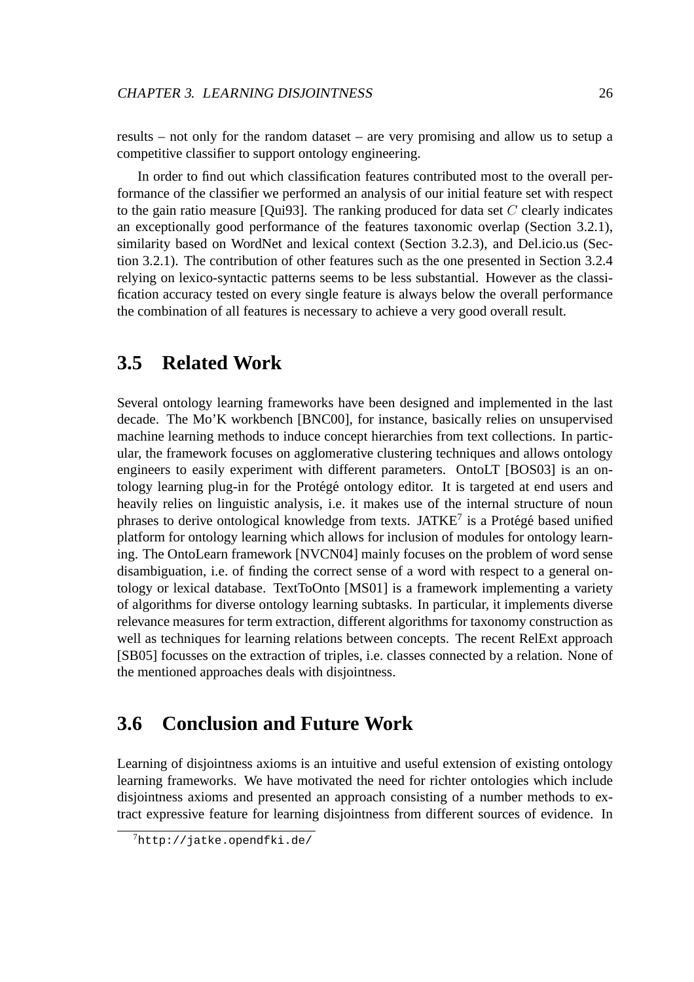results – not only for the random dataset – are very promising and allow us to setup a competitive classifier to support ontology engineering.

In order to find out which classification features contributed most to the overall performance of the classifier we performed an analysis of our initial feature set with respect to the gain ratio measure [Qui93]. The ranking produced for data set  $C$  clearly indicates an exceptionally good performance of the features taxonomic overlap (Section 3.2.1), similarity based on WordNet and lexical context (Section 3.2.3), and Del.icio.us (Section 3.2.1). The contribution of other features such as the one presented in Section 3.2.4 relying on lexico-syntactic patterns seems to be less substantial. However as the classification accuracy tested on every single feature is always below the overall performance the combination of all features is necessary to achieve a very good overall result.

## **3.5 Related Work**

Several ontology learning frameworks have been designed and implemented in the last decade. The Mo'K workbench [BNC00], for instance, basically relies on unsupervised machine learning methods to induce concept hierarchies from text collections. In particular, the framework focuses on agglomerative clustering techniques and allows ontology engineers to easily experiment with different parameters. OntoLT [BOS03] is an ontology learning plug-in for the Protégé ontology editor. It is targeted at end users and heavily relies on linguistic analysis, i.e. it makes use of the internal structure of noun phrases to derive ontological knowledge from texts. JATKE<sup>7</sup> is a Protégé based unified platform for ontology learning which allows for inclusion of modules for ontology learning. The OntoLearn framework [NVCN04] mainly focuses on the problem of word sense disambiguation, i.e. of finding the correct sense of a word with respect to a general ontology or lexical database. TextToOnto [MS01] is a framework implementing a variety of algorithms for diverse ontology learning subtasks. In particular, it implements diverse relevance measures for term extraction, different algorithms for taxonomy construction as well as techniques for learning relations between concepts. The recent RelExt approach [SB05] focusses on the extraction of triples, i.e. classes connected by a relation. None of the mentioned approaches deals with disjointness.

# **3.6 Conclusion and Future Work**

Learning of disjointness axioms is an intuitive and useful extension of existing ontology learning frameworks. We have motivated the need for richter ontologies which include disjointness axioms and presented an approach consisting of a number methods to extract expressive feature for learning disjointness from different sources of evidence. In

 $7$ http://jatke.opendfki.de/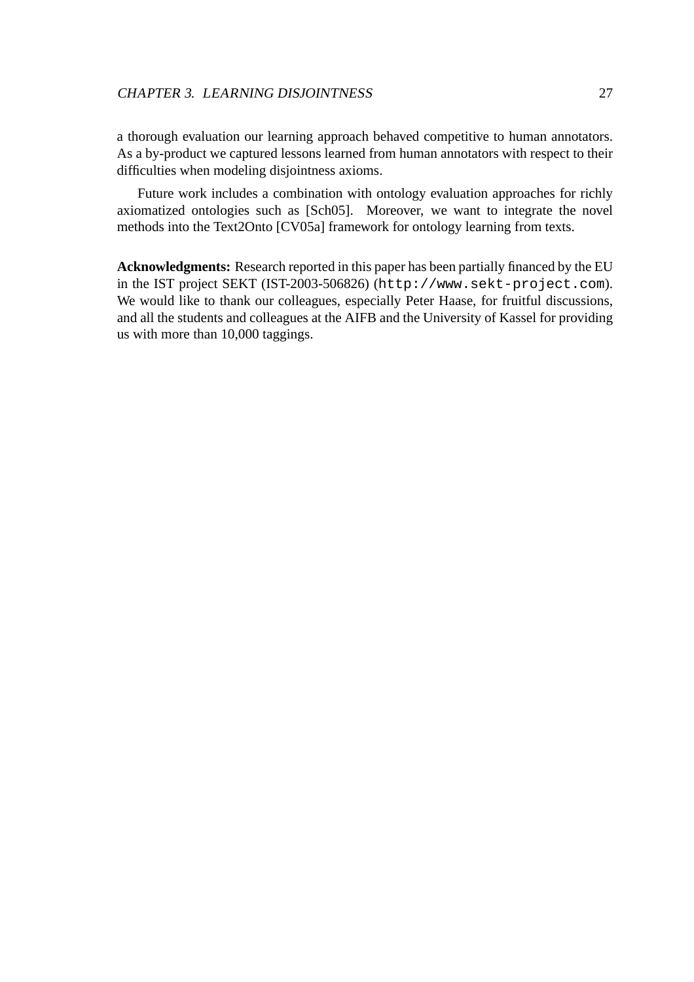a thorough evaluation our learning approach behaved competitive to human annotators. As a by-product we captured lessons learned from human annotators with respect to their difficulties when modeling disjointness axioms.

Future work includes a combination with ontology evaluation approaches for richly axiomatized ontologies such as [Sch05]. Moreover, we want to integrate the novel methods into the Text2Onto [CV05a] framework for ontology learning from texts.

**Acknowledgments:** Research reported in this paper has been partially financed by the EU in the IST project SEKT (IST-2003-506826) (http://www.sekt-project.com). We would like to thank our colleagues, especially Peter Haase, for fruitful discussions, and all the students and colleagues at the AIFB and the University of Kassel for providing us with more than 10,000 taggings.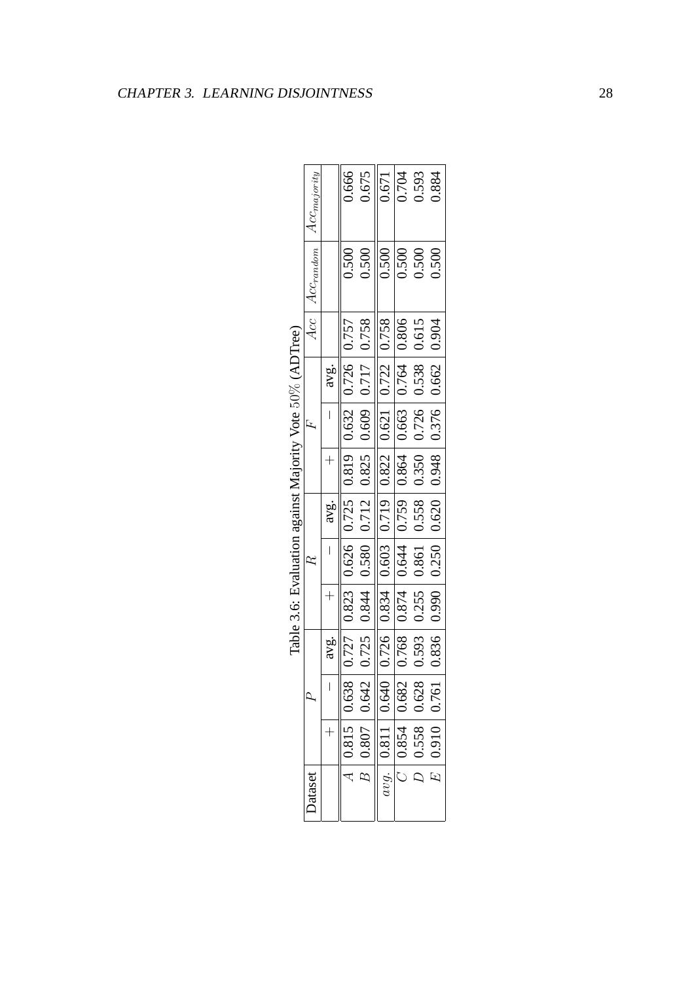|                                                          | $4C_{mag}$         |      | 0.666 | 0.675                                                                                | 0.671                                                                                                                                                                                                                                                        | 0.704 | 0.593                                                                         | 1.884                                                                          |  |  |
|----------------------------------------------------------|--------------------|------|-------|--------------------------------------------------------------------------------------|--------------------------------------------------------------------------------------------------------------------------------------------------------------------------------------------------------------------------------------------------------------|-------|-------------------------------------------------------------------------------|--------------------------------------------------------------------------------|--|--|
|                                                          | $+$ ACC random $+$ |      | 0.500 | 0.500                                                                                | 0.500                                                                                                                                                                                                                                                        | 0.500 | 0.500                                                                         | 0.500                                                                          |  |  |
| Table 3.6: Evaluation against Majority Vote 50% (ADTree) | Acc                |      |       |                                                                                      |                                                                                                                                                                                                                                                              |       |                                                                               | 0.904                                                                          |  |  |
|                                                          |                    | avg. |       | $0.725 \mid 0.844 \mid 0.580 \mid 0.712 \mid 0.825 \mid 0.609 \mid 0.717 \mid 0.758$ |                                                                                                                                                                                                                                                              |       | $0.593$   $0.255$   $0.861$   $0.558$   $0.350$   $0.726$   $0.538$   $0.615$ | $0.836 \mid 0.990 \mid 0.250 \mid 0.620 \mid 0.948 \mid 0.376 \mid 0.662 \mid$ |  |  |
|                                                          |                    |      |       |                                                                                      |                                                                                                                                                                                                                                                              |       |                                                                               |                                                                                |  |  |
|                                                          |                    |      |       |                                                                                      |                                                                                                                                                                                                                                                              |       |                                                                               |                                                                                |  |  |
|                                                          | £                  | avg. |       |                                                                                      |                                                                                                                                                                                                                                                              |       |                                                                               |                                                                                |  |  |
|                                                          |                    |      |       |                                                                                      |                                                                                                                                                                                                                                                              |       |                                                                               |                                                                                |  |  |
|                                                          |                    |      |       |                                                                                      |                                                                                                                                                                                                                                                              |       |                                                                               |                                                                                |  |  |
|                                                          |                    | avg. |       |                                                                                      |                                                                                                                                                                                                                                                              |       |                                                                               |                                                                                |  |  |
|                                                          |                    |      |       |                                                                                      |                                                                                                                                                                                                                                                              |       |                                                                               |                                                                                |  |  |
|                                                          |                    |      |       | $\overline{B}$ 0.807 0.642                                                           | $\frac{avg.}{C}\left \frac{0.811}{0.854}\right \frac{0.640}{0.682}\left \frac{0.726}{0.874}\right \frac{0.834}{0.644}\left \frac{0.603}{0.759}\right \frac{0.822}{0.864}\left \frac{0.621}{0.672}\right \frac{0.722}{0.758}\left \frac{0.725}{0.758}\right $ |       | $D \mid 0.558 \mid 0.628$                                                     | $E \mid 0.910 \mid 0.76$                                                       |  |  |
|                                                          | <b>Jacaset</b>     |      |       |                                                                                      |                                                                                                                                                                                                                                                              |       |                                                                               |                                                                                |  |  |

| $\bf{v}$<br>$\frac{1}{2}$                                                             |
|---------------------------------------------------------------------------------------|
| .<br>.<br>l                                                                           |
|                                                                                       |
| $+70.5$                                                                               |
| )<br>1                                                                                |
| ֚֚֡                                                                                   |
| $\overline{\phantom{a}}$<br>֧֦֧֦֧֦֧֦֧֦֧֦֧֦֧֦֧֦֧֦֧֦֧֦֧֦֧֧֦֧֧֦֧֧֪֪֪֪֦֚֞֜֜֜֓֜֜֜֞֓֜֓֓֓֝֓֞ |
|                                                                                       |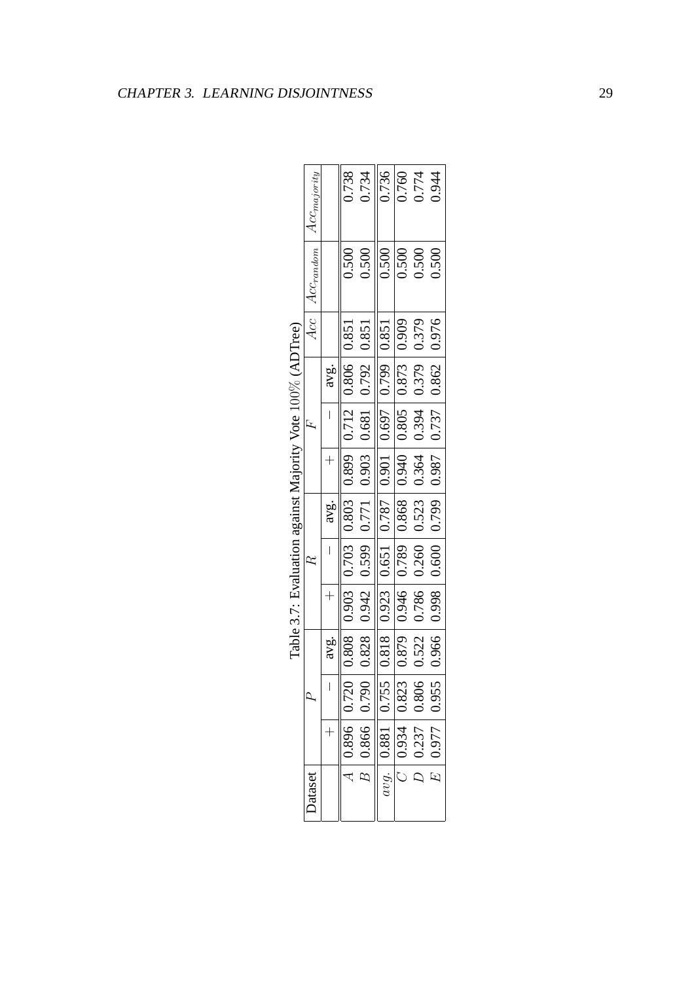|                                                           | $AC_{majority}$    |      | 0.738                                                                                                                                                                                                                                                                      | 0.734                                                                                | 0.736                                                                         | 0.760                                                                 | 0.774                         | 0.944                 |
|-----------------------------------------------------------|--------------------|------|----------------------------------------------------------------------------------------------------------------------------------------------------------------------------------------------------------------------------------------------------------------------------|--------------------------------------------------------------------------------------|-------------------------------------------------------------------------------|-----------------------------------------------------------------------|-------------------------------|-----------------------|
| Table 3.7: Evaluation against Majority Vote 100% (ADTree) | $-$ ACC random $-$ |      | 0.500                                                                                                                                                                                                                                                                      | 0.500                                                                                | 0.500                                                                         | 0.500                                                                 | 0.500                         | 0.500                 |
|                                                           | Acc                |      |                                                                                                                                                                                                                                                                            |                                                                                      |                                                                               |                                                                       | 0.379                         | 0.976                 |
|                                                           | L,                 | avg. |                                                                                                                                                                                                                                                                            |                                                                                      |                                                                               |                                                                       | $0.364$   0.394   0.379       | 0.987   0.737   0.862 |
|                                                           |                    |      |                                                                                                                                                                                                                                                                            |                                                                                      |                                                                               |                                                                       |                               |                       |
|                                                           |                    |      |                                                                                                                                                                                                                                                                            |                                                                                      |                                                                               |                                                                       |                               |                       |
|                                                           |                    | avg. |                                                                                                                                                                                                                                                                            |                                                                                      |                                                                               |                                                                       |                               |                       |
|                                                           |                    |      |                                                                                                                                                                                                                                                                            |                                                                                      |                                                                               |                                                                       |                               | 0.600 0.799           |
|                                                           |                    |      | $0.808 \begin{array}{ l } 0.903 \end{array} \begin{array}{ l } 0.703 \end{array} \begin{array}{ l } 0.803 \end{array} \begin{array}{ l } 0.899 \end{array} \begin{array}{ l } 0.712 \end{array} \begin{array}{ l } 0.806 \end{array} \begin{array}{ l } 0.851 \end{array}$ | $0.828 \mid 0.942 \mid 0.599 \mid 0.771 \mid 0.903 \mid 0.681 \mid 0.792 \mid 0.851$ | $0.818$   $0.923$   $0.651$   $0.787$   $0.901$   $0.697$   $0.799$   $0.851$ | $606.0\mid ELS.0\mid S08.0\mid 0.940\mid 0.940\mid 0.873\mid 0.949.0$ | 0.522   0.786   0.260   0.523 | 0.998                 |
|                                                           |                    | avg. |                                                                                                                                                                                                                                                                            |                                                                                      |                                                                               |                                                                       |                               | 0.966                 |
|                                                           |                    |      |                                                                                                                                                                                                                                                                            |                                                                                      |                                                                               |                                                                       |                               | 0.955                 |
|                                                           |                    |      | $A \mid 0.896 \mid 0.720$                                                                                                                                                                                                                                                  | $B \begin{array}{ c c } \hline B & 0.866 & 0.790 \\ \hline \end{array}$              | $\frac{avg.}{C}\left \frac{0.881}{0.934}\right 0.755$                         |                                                                       | $D\big 0.237\big 0.806$       | $E \mid 0.977$        |
|                                                           | <b>Dataset</b>     |      |                                                                                                                                                                                                                                                                            |                                                                                      |                                                                               |                                                                       |                               |                       |

| $\frac{1}{2}$<br> <br> <br> <br>֦֖֖֖֪֧֪֪֪֪֪֪֪֦֛֚֚֚֚֚֚֚֚֚֚֚֚֚֚֚֚֚֝֬֝֝֝֝֝֝֬֝֬֝֬֝֬֝֬֝֓֬֝֓֬֝֓֬֝֬֝֬֝֓֝֬֓ |  |
|-----------------------------------------------------------------------------------------------------|--|
| l                                                                                                   |  |
| $\ddot{\phantom{0}}$                                                                                |  |
|                                                                                                     |  |
| $\ddot{a}$ and $\ddot{a}$ and $\ddot{a}$                                                            |  |
| j                                                                                                   |  |
| ֧֧֧֧֧֧֧֧֧֧֧֧֧֧֧֧֧֧֚֚֚֚֚֚֚֚֚֚֚֚֚֚֚֚֚֚֚֚֚֚֚֚֝֝֝֝֝֝֝֓֝֬֝֓֝֬֝֓֝֬֝֬֝֬֝֬֝֬֝֬֝֬֝֬֝֬֝֬֝֬֝֬<br>I             |  |
| l                                                                                                   |  |
| Ş                                                                                                   |  |
|                                                                                                     |  |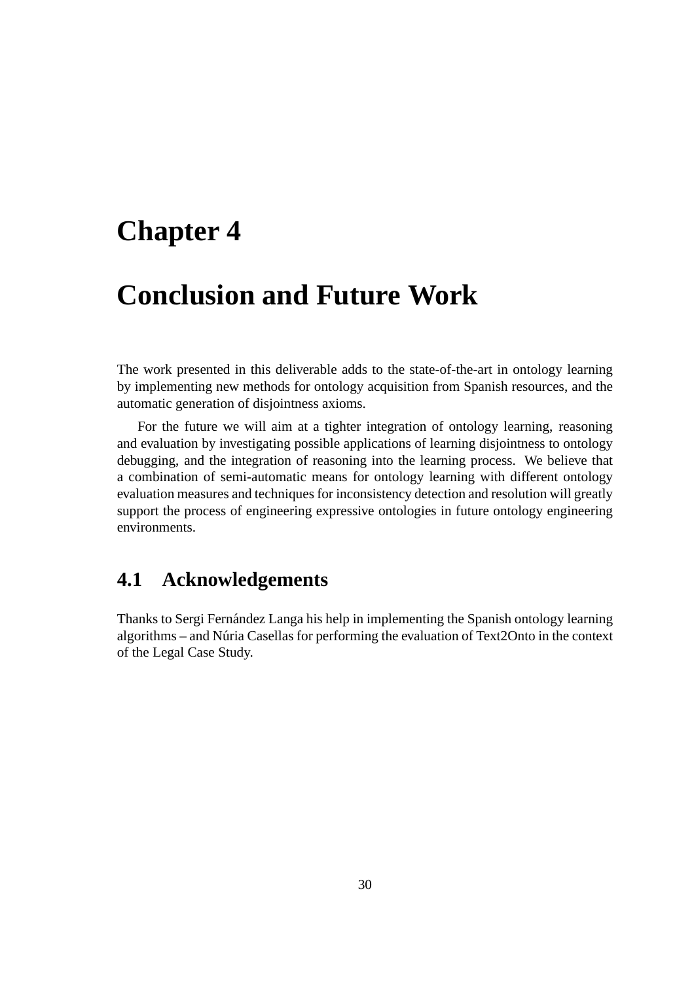# **Chapter 4**

# **Conclusion and Future Work**

The work presented in this deliverable adds to the state-of-the-art in ontology learning by implementing new methods for ontology acquisition from Spanish resources, and the automatic generation of disjointness axioms.

For the future we will aim at a tighter integration of ontology learning, reasoning and evaluation by investigating possible applications of learning disjointness to ontology debugging, and the integration of reasoning into the learning process. We believe that a combination of semi-automatic means for ontology learning with different ontology evaluation measures and techniques for inconsistency detection and resolution will greatly support the process of engineering expressive ontologies in future ontology engineering environments.

# **4.1 Acknowledgements**

Thanks to Sergi Fernández Langa his help in implementing the Spanish ontology learning algorithms – and Núria Casellas for performing the evaluation of Text2Onto in the context of the Legal Case Study.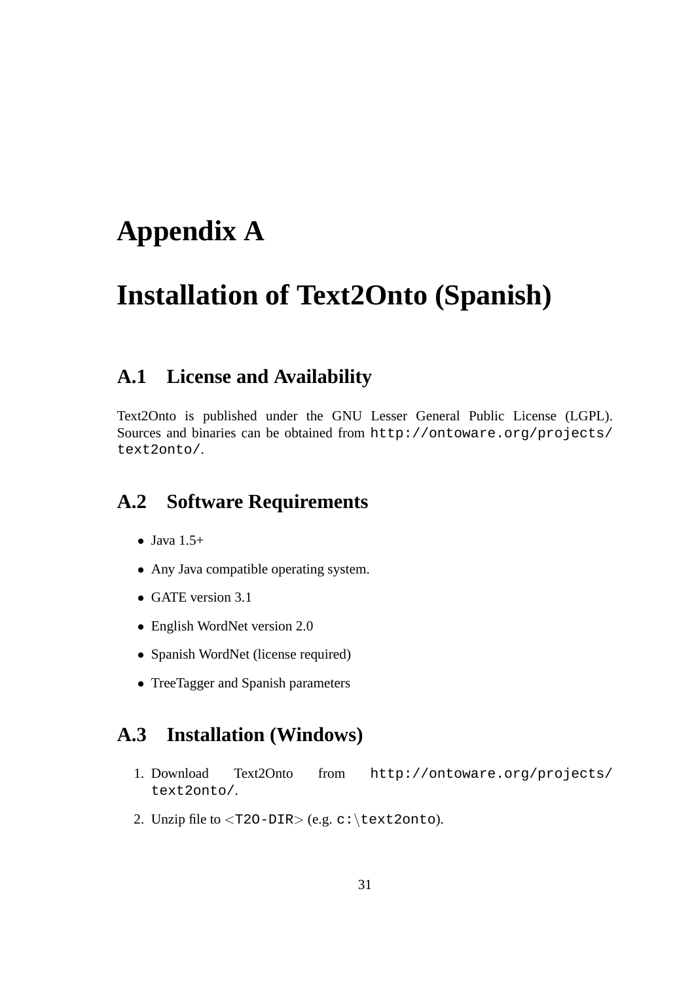# **Appendix A**

# **Installation of Text2Onto (Spanish)**

# **A.1 License and Availability**

Text2Onto is published under the GNU Lesser General Public License (LGPL). Sources and binaries can be obtained from http://ontoware.org/projects/ text2onto/.

# **A.2 Software Requirements**

- Java  $1.5+$
- Any Java compatible operating system.
- GATE version 3.1
- English WordNet version 2.0
- Spanish WordNet (license required)
- TreeTagger and Spanish parameters

# **A.3 Installation (Windows)**

- 1. Download Text2Onto from http://ontoware.org/projects/ text2onto/.
- 2. Unzip file to <T2O-DIR> (e.g. c:\text2onto).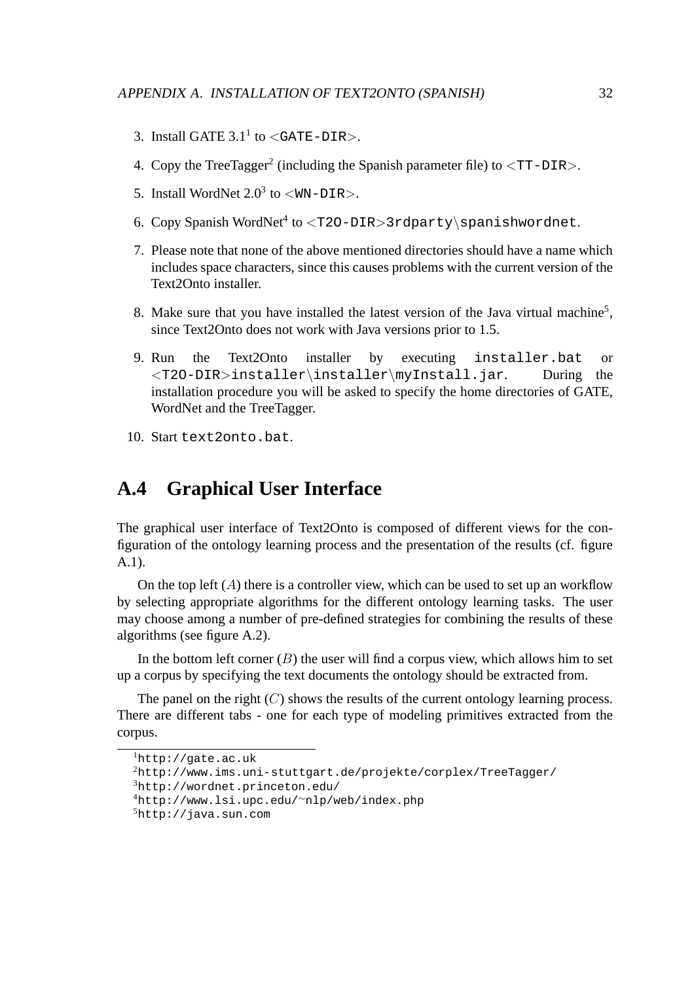- 3. Install GATE  $3.1<sup>1</sup>$  to  $<$ GATE-DIR>.
- 4. Copy the TreeTagger<sup>2</sup> (including the Spanish parameter file) to  $\langle TT-DIR \rangle$ .
- 5. Install WordNet  $2.0^3$  to  $\langle$ WN-DIR $\rangle$ .
- 6. Copy Spanish WordNet<sup>4</sup> to  $\langle$ T2O-DIR>3rdparty\spanishwordnet.
- 7. Please note that none of the above mentioned directories should have a name which includes space characters, since this causes problems with the current version of the Text2Onto installer.
- 8. Make sure that you have installed the latest version of the Java virtual machine<sup>5</sup>, since Text2Onto does not work with Java versions prior to 1.5.
- 9. Run the Text2Onto installer by executing installer.bat or <T2O-DIR>installer\installer\myInstall.jar. During the installation procedure you will be asked to specify the home directories of GATE, WordNet and the TreeTagger.
- 10. Start text2onto.bat.

# **A.4 Graphical User Interface**

The graphical user interface of Text2Onto is composed of different views for the configuration of the ontology learning process and the presentation of the results (cf. figure A.1).

On the top left  $(A)$  there is a controller view, which can be used to set up an workflow by selecting appropriate algorithms for the different ontology learning tasks. The user may choose among a number of pre-defined strategies for combining the results of these algorithms (see figure A.2).

In the bottom left corner  $(B)$  the user will find a corpus view, which allows him to set up a corpus by specifying the text documents the ontology should be extracted from.

The panel on the right  $(C)$  shows the results of the current ontology learning process. There are different tabs - one for each type of modeling primitives extracted from the corpus.

<sup>1</sup>http://gate.ac.uk

<sup>2</sup>http://www.ims.uni-stuttgart.de/projekte/corplex/TreeTagger/

<sup>3</sup>http://wordnet.princeton.edu/

<sup>4</sup>http://www.lsi.upc.edu/<sup>∼</sup>nlp/web/index.php

 $5$ http://java.sun.com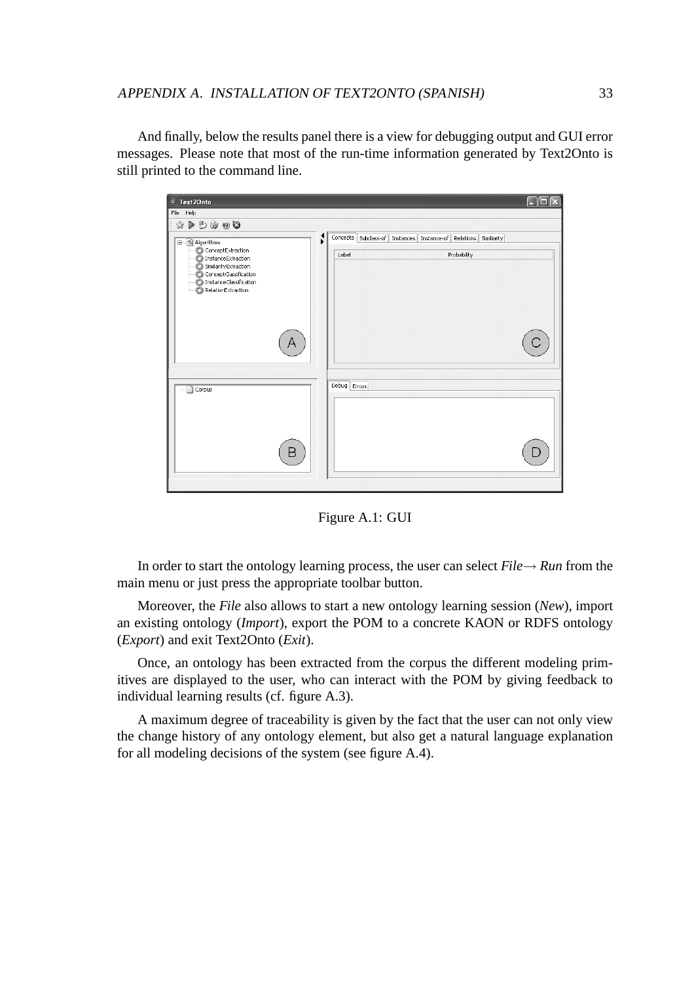And finally, below the results panel there is a view for debugging output and GUI error messages. Please note that most of the run-time information generated by Text2Onto is still printed to the command line.

| 蚃<br>Text20nto                                                                                                                                                                  |   |              |  |                                                                            |             |   |
|---------------------------------------------------------------------------------------------------------------------------------------------------------------------------------|---|--------------|--|----------------------------------------------------------------------------|-------------|---|
| File Help                                                                                                                                                                       |   |              |  |                                                                            |             |   |
| $\blacktriangleright\mathop{\triangleright}\mathop{\triangleright}\mathop{\triangleright}\mathop{\triangleright}\mathop{\triangleright}\mathop{\triangleright}$<br>$\mathbb{Z}$ |   |              |  |                                                                            |             |   |
| □ 3 Algorithms                                                                                                                                                                  | 1 |              |  | Concepts   Subclass-of   Instances   Instance-of   Relations   Similiarity |             |   |
| C ConceptExtraction<br>InstanceExtraction<br>SimilarityExtraction<br>ConceptClassification<br>InstanceClassification<br>RelationExtraction                                      |   | Label        |  |                                                                            | Probability |   |
|                                                                                                                                                                                 |   |              |  |                                                                            |             |   |
| Corpus                                                                                                                                                                          |   | Debug Errors |  |                                                                            |             |   |
| В                                                                                                                                                                               |   |              |  |                                                                            |             | D |

Figure A.1: GUI

In order to start the ontology learning process, the user can select  $File \rightarrow Run$  from the main menu or just press the appropriate toolbar button.

Moreover, the *File* also allows to start a new ontology learning session (*New*), import an existing ontology (*Import*), export the POM to a concrete KAON or RDFS ontology (*Export*) and exit Text2Onto (*Exit*).

Once, an ontology has been extracted from the corpus the different modeling primitives are displayed to the user, who can interact with the POM by giving feedback to individual learning results (cf. figure A.3).

A maximum degree of traceability is given by the fact that the user can not only view the change history of any ontology element, but also get a natural language explanation for all modeling decisions of the system (see figure A.4).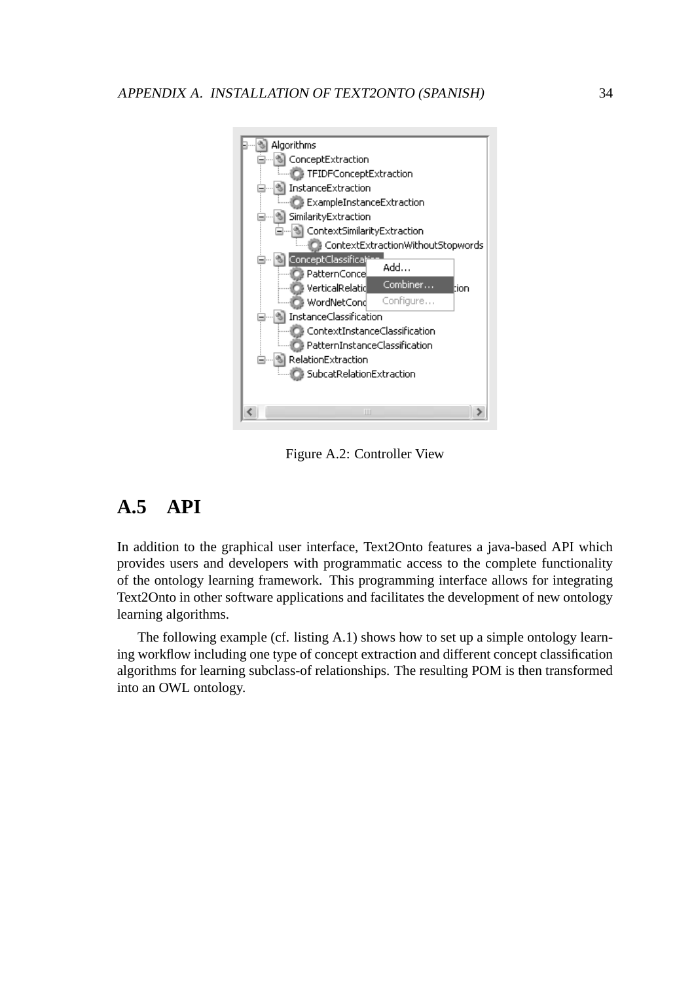

Figure A.2: Controller View

# **A.5 API**

In addition to the graphical user interface, Text2Onto features a java-based API which provides users and developers with programmatic access to the complete functionality of the ontology learning framework. This programming interface allows for integrating Text2Onto in other software applications and facilitates the development of new ontology learning algorithms.

The following example (cf. listing A.1) shows how to set up a simple ontology learning workflow including one type of concept extraction and different concept classification algorithms for learning subclass-of relationships. The resulting POM is then transformed into an OWL ontology.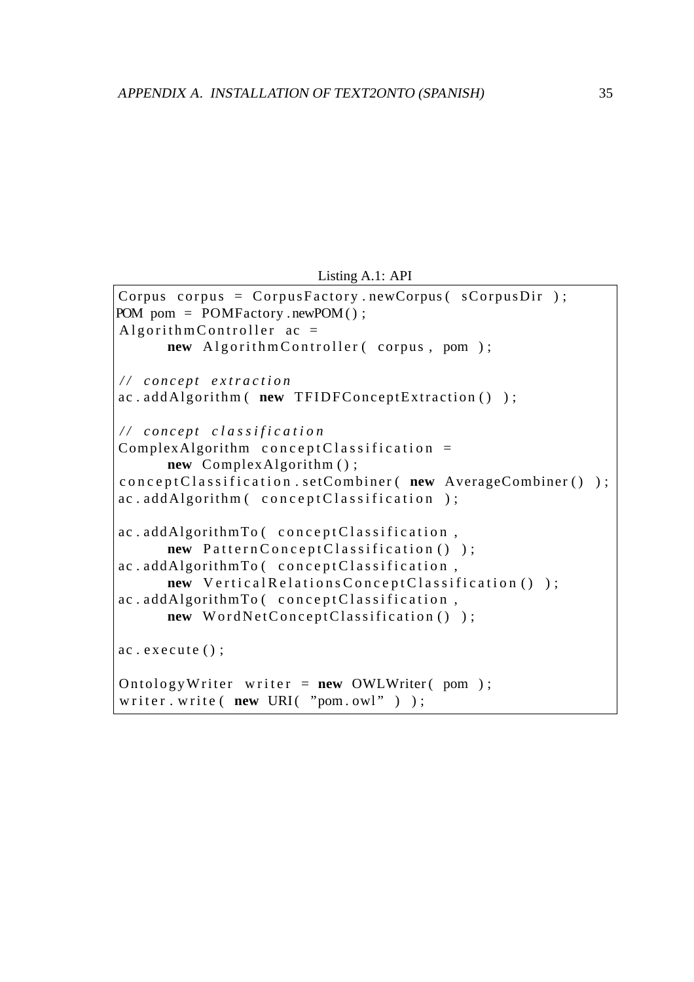```
Listing A.1: API
```

```
Corpus corpus = CorpusFactory. newCorpus (sCorpusDir);
POM pom = POMFactorv.newPOM():
Algorithm Controller ac =new Algorithm Controller (corpus, pom);
/ / c o n c e p t e x t r a c t i o n
ac. addAlgorithm ( new TFIDFConceptExtraction () );
/ / c o n c e p t c l a s s i f i c a t i o n
ComplexAlgorithm conceptClassification =
      new ComplexAlgorithm ( ) ;
concept Classification . set Combiner (new Average Combiner () );
ac. addAlgorithm ( conceptClassification );
ac. addAlgorithmTo ( conceptClassification,
      new Pattern Concept Classification () );
ac.addAlgorithmTo ( conceptClassification,
      new Vertical Relations Concept Classification () );
ac.addAlgorithmTo ( conceptClassification,
      new WordNetConceptClassification() );
ac. ex execute ();
Ontology Writer writer = new OWLWriter (pom );
writer.write ( new URI ( "pom.owl" ) );
```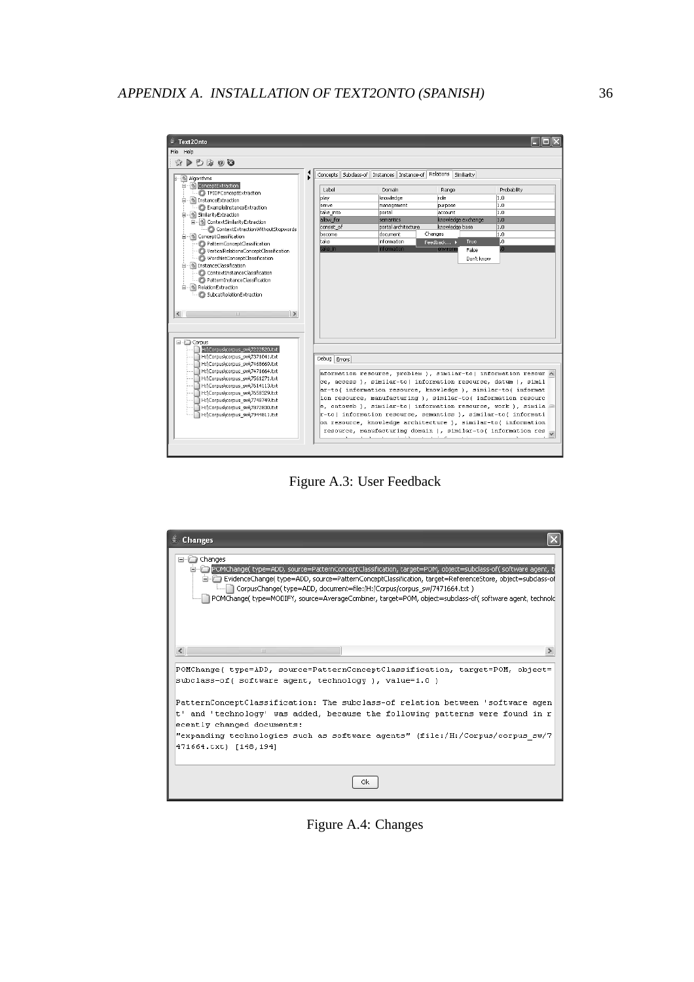

Figure A.3: User Feedback



Figure A.4: Changes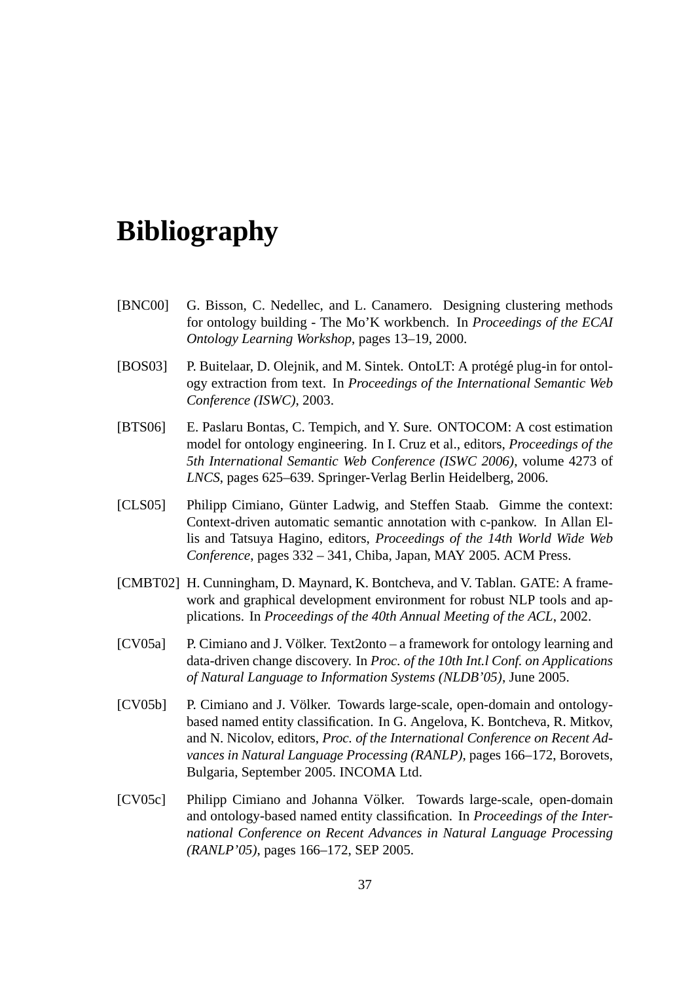# **Bibliography**

- [BNC00] G. Bisson, C. Nedellec, and L. Canamero. Designing clustering methods for ontology building - The Mo'K workbench. In *Proceedings of the ECAI Ontology Learning Workshop*, pages 13–19, 2000.
- [BOS03] P. Buitelaar, D. Olejnik, and M. Sintek. OntoLT: A protégé plug-in for ontology extraction from text. In *Proceedings of the International Semantic Web Conference (ISWC)*, 2003.
- [BTS06] E. Paslaru Bontas, C. Tempich, and Y. Sure. ONTOCOM: A cost estimation model for ontology engineering. In I. Cruz et al., editors, *Proceedings of the 5th International Semantic Web Conference (ISWC 2006)*, volume 4273 of *LNCS*, pages 625–639. Springer-Verlag Berlin Heidelberg, 2006.
- [CLS05] Philipp Cimiano, Günter Ladwig, and Steffen Staab. Gimme the context: Context-driven automatic semantic annotation with c-pankow. In Allan Ellis and Tatsuya Hagino, editors, *Proceedings of the 14th World Wide Web Conference*, pages 332 – 341, Chiba, Japan, MAY 2005. ACM Press.
- [CMBT02] H. Cunningham, D. Maynard, K. Bontcheva, and V. Tablan. GATE: A framework and graphical development environment for robust NLP tools and applications. In *Proceedings of the 40th Annual Meeting of the ACL*, 2002.
- $[CV05a]$  P. Cimiano and J. Völker. Text2onto a framework for ontology learning and data-driven change discovery. In *Proc. of the 10th Int.l Conf. on Applications of Natural Language to Information Systems (NLDB'05)*, June 2005.
- [CV05b] P. Cimiano and J. Völker. Towards large-scale, open-domain and ontologybased named entity classification. In G. Angelova, K. Bontcheva, R. Mitkov, and N. Nicolov, editors, *Proc. of the International Conference on Recent Advances in Natural Language Processing (RANLP)*, pages 166–172, Borovets, Bulgaria, September 2005. INCOMA Ltd.
- [CV05c] Philipp Cimiano and Johanna Völker. Towards large-scale, open-domain and ontology-based named entity classification. In *Proceedings of the International Conference on Recent Advances in Natural Language Processing (RANLP'05)*, pages 166–172, SEP 2005.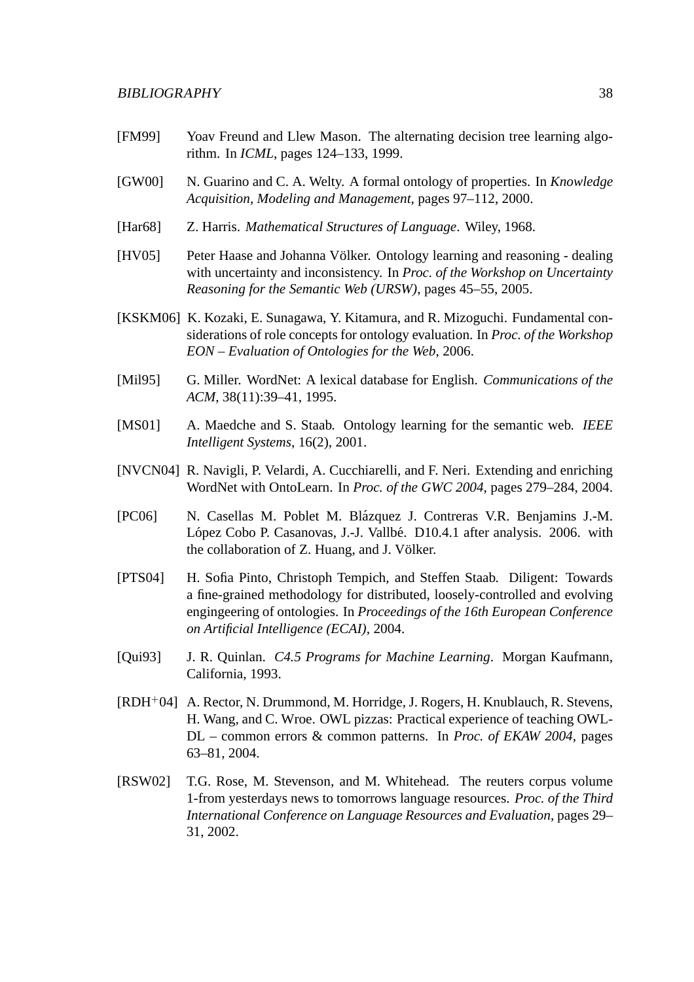- [FM99] Yoav Freund and Llew Mason. The alternating decision tree learning algorithm. In *ICML*, pages 124–133, 1999.
- [GW00] N. Guarino and C. A. Welty. A formal ontology of properties. In *Knowledge Acquisition, Modeling and Management*, pages 97–112, 2000.
- [Har68] Z. Harris. *Mathematical Structures of Language*. Wiley, 1968.
- [HV05] Peter Haase and Johanna Völker. Ontology learning and reasoning dealing with uncertainty and inconsistency. In *Proc. of the Workshop on Uncertainty Reasoning for the Semantic Web (URSW)*, pages 45–55, 2005.
- [KSKM06] K. Kozaki, E. Sunagawa, Y. Kitamura, and R. Mizoguchi. Fundamental considerations of role concepts for ontology evaluation. In *Proc. of the Workshop EON – Evaluation of Ontologies for the Web*, 2006.
- [Mil95] G. Miller. WordNet: A lexical database for English. *Communications of the ACM*, 38(11):39–41, 1995.
- [MS01] A. Maedche and S. Staab. Ontology learning for the semantic web. *IEEE Intelligent Systems*, 16(2), 2001.
- [NVCN04] R. Navigli, P. Velardi, A. Cucchiarelli, and F. Neri. Extending and enriching WordNet with OntoLearn. In *Proc. of the GWC 2004*, pages 279–284, 2004.
- [PC06] N. Casellas M. Poblet M. Blázquez J. Contreras V.R. Benjamins J.-M. López Cobo P. Casanovas, J.-J. Vallbé. D10.4.1 after analysis. 2006. with the collaboration of Z. Huang, and J. Völker.
- [PTS04] H. Sofia Pinto, Christoph Tempich, and Steffen Staab. Diligent: Towards a fine-grained methodology for distributed, loosely-controlled and evolving engingeering of ontologies. In *Proceedings of the 16th European Conference on Artificial Intelligence (ECAI)*, 2004.
- [Qui93] J. R. Quinlan. *C4.5 Programs for Machine Learning*. Morgan Kaufmann, California, 1993.
- [RDH<sup>+</sup>04] A. Rector, N. Drummond, M. Horridge, J. Rogers, H. Knublauch, R. Stevens, H. Wang, and C. Wroe. OWL pizzas: Practical experience of teaching OWL-DL – common errors & common patterns. In *Proc. of EKAW 2004*, pages 63–81, 2004.
- [RSW02] T.G. Rose, M. Stevenson, and M. Whitehead. The reuters corpus volume 1-from yesterdays news to tomorrows language resources. *Proc. of the Third International Conference on Language Resources and Evaluation*, pages 29– 31, 2002.